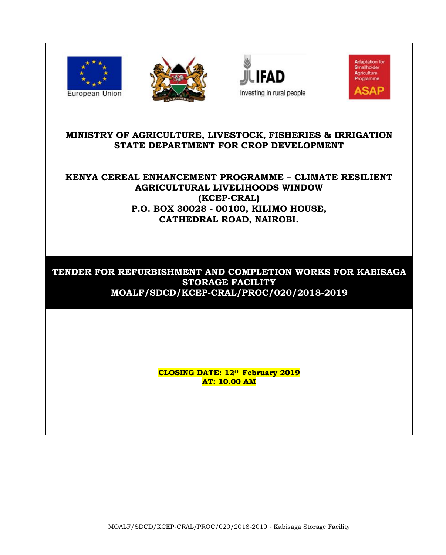







# **MINISTRY OF AGRICULTURE, LIVESTOCK, FISHERIES & IRRIGATION STATE DEPARTMENT FOR CROP DEVELOPMENT**

# **KENYA CEREAL ENHANCEMENT PROGRAMME – CLIMATE RESILIENT AGRICULTURAL LIVELIHOODS WINDOW (KCEP-CRAL) P.O. BOX 30028 - 00100, KILIMO HOUSE, CATHEDRAL ROAD, NAIROBI.**

# **TENDER FOR REFURBISHMENT AND COMPLETION WORKS FOR KABISAGA STORAGE FACILITY MOALF/SDCD/KCEP-CRAL/PROC/020/2018-2019**

**CLOSING DATE: 12th February 2019 AT: 10.00 AM**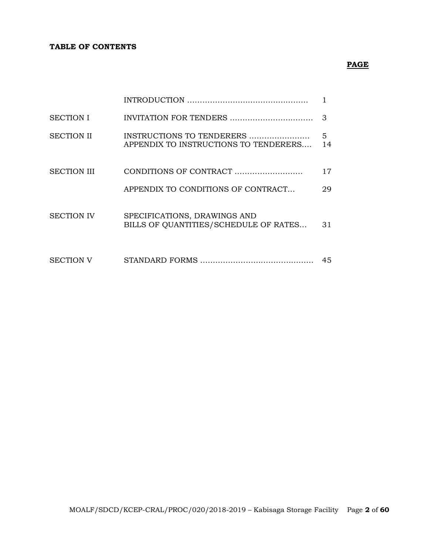#### **TABLE OF CONTENTS**

# **PAGE**

| <b>SECTION I</b>   |                                                                       | 3       |
|--------------------|-----------------------------------------------------------------------|---------|
| <b>SECTION II</b>  | INSTRUCTIONS TO TENDERERS<br>APPENDIX TO INSTRUCTIONS TO TENDERERS    | 5<br>14 |
| <b>SECTION III</b> |                                                                       | 17      |
|                    | APPENDIX TO CONDITIONS OF CONTRACT                                    | 29      |
| <b>SECTION IV</b>  | SPECIFICATIONS, DRAWINGS AND<br>BILLS OF QUANTITIES/SCHEDULE OF RATES | 31      |
| <b>SECTION V</b>   |                                                                       | 45      |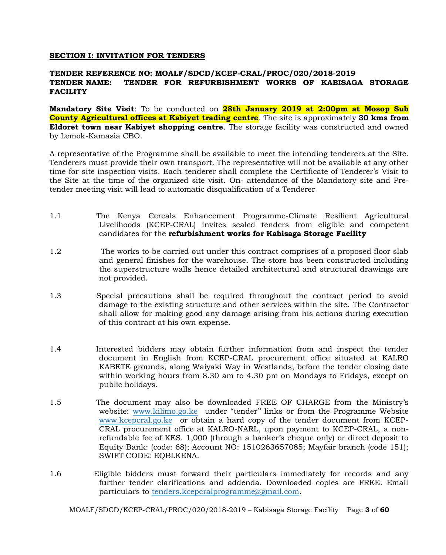#### **SECTION I: INVITATION FOR TENDERS**

#### **TENDER REFERENCE NO: MOALF/SDCD/KCEP-CRAL/PROC/020/2018-2019 TENDER NAME: TENDER FOR REFURBISHMENT WORKS OF KABISAGA STORAGE FACILITY**

**Mandatory Site Visit**: To be conducted on **28th January 2019 at 2:00pm at Mosop Sub County Agricultural offices at Kabiyet trading centre**. The site is approximately **30 kms from Eldoret town near Kabiyet shopping centre**. The storage facility was constructed and owned by Lemok-Kamasia CBO.

A representative of the Programme shall be available to meet the intending tenderers at the Site. Tenderers must provide their own transport. The representative will not be available at any other time for site inspection visits. Each tenderer shall complete the Certificate of Tenderer's Visit to the Site at the time of the organized site visit. On- attendance of the Mandatory site and Pretender meeting visit will lead to automatic disqualification of a Tenderer

- 1.1 The Kenya Cereals Enhancement Programme-Climate Resilient Agricultural Livelihoods (KCEP-CRAL) invites sealed tenders from eligible and competent candidates for the **refurbishment works for Kabisaga Storage Facility**
- 1.2 The works to be carried out under this contract comprises of a proposed floor slab and general finishes for the warehouse. The store has been constructed including the superstructure walls hence detailed architectural and structural drawings are not provided.
- 1.3 Special precautions shall be required throughout the contract period to avoid damage to the existing structure and other services within the site. The Contractor shall allow for making good any damage arising from his actions during execution of this contract at his own expense.
- 1.4 Interested bidders may obtain further information from and inspect the tender document in English from KCEP-CRAL procurement office situated at KALRO KABETE grounds, along Waiyaki Way in Westlands, before the tender closing date within working hours from 8.30 am to 4.30 pm on Mondays to Fridays, except on public holidays.
- 1.5 The document may also be downloaded FREE OF CHARGE from the Ministry's website: [www.kilimo.go.ke](http://www.kilimo.go.ke/) under "tender'' links or from the Programme Website [www.kcepcral.go.ke](http://www.kcepcral.go.ke/) or obtain a hard copy of the tender document from KCEP-CRAL procurement office at KALRO-NARL, upon payment to KCEP-CRAL, a nonrefundable fee of KES. 1,000 (through a banker's cheque only) or direct deposit to Equity Bank: (code: 68); Account NO: 1510263657085; Mayfair branch (code 151); SWIFT CODE: EQBLKENA.
- 1.6 Eligible bidders must forward their particulars immediately for records and any further tender clarifications and addenda. Downloaded copies are FREE. Email particulars to [tenders.kcepcralprogramme@gmail.com.](mailto:tenders.kcepcralprogramme@gmail.com)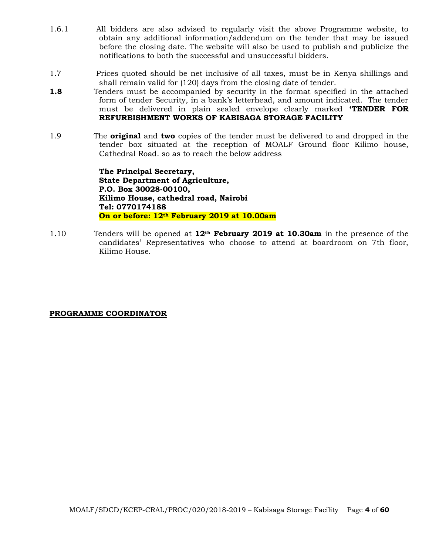- 1.6.1 All bidders are also advised to regularly visit the above Programme website, to obtain any additional information/addendum on the tender that may be issued before the closing date. The website will also be used to publish and publicize the notifications to both the successful and unsuccessful bidders.
- 1.7 Prices quoted should be net inclusive of all taxes, must be in Kenya shillings and shall remain valid for (120) days from the closing date of tender.
- **1.8** Tenders must be accompanied by security in the format specified in the attached form of tender Security, in a bank's letterhead, and amount indicated. The tender must be delivered in plain sealed envelope clearly marked **'TENDER FOR REFURBISHMENT WORKS OF KABISAGA STORAGE FACILITY**
- 1.9 The **original** and **two** copies of the tender must be delivered to and dropped in the tender box situated at the reception of MOALF Ground floor Kilimo house, Cathedral Road. so as to reach the below address

**The Principal Secretary, State Department of Agriculture, P.O. Box 30028-00100, Kilimo House, cathedral road, Nairobi Tel: 0770174188 On or before: 12th February 2019 at 10.00am**

1.10 Tenders will be opened at **12th February 2019 at 10.30am** in the presence of the candidates' Representatives who choose to attend at boardroom on 7th floor, Kilimo House.

#### **PROGRAMME COORDINATOR**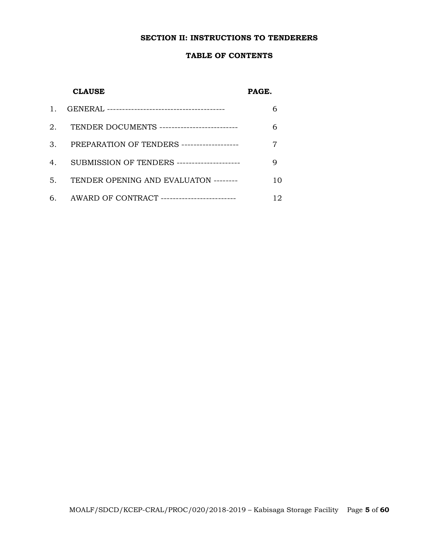#### **SECTION II: INSTRUCTIONS TO TENDERERS**

#### **TABLE OF CONTENTS**

#### **CLAUSE PAGE.**

|                | 2. TENDER DOCUMENTS --------------------------- |    |
|----------------|-------------------------------------------------|----|
| 3.             | PREPARATION OF TENDERS -------------------      |    |
| 4 <sub>1</sub> | SUBMISSION OF TENDERS ---------------------     |    |
| 5.             | TENDER OPENING AND EVALUATON --------           | 10 |
|                | 6. AWARD OF CONTRACT -------------------------  | 12 |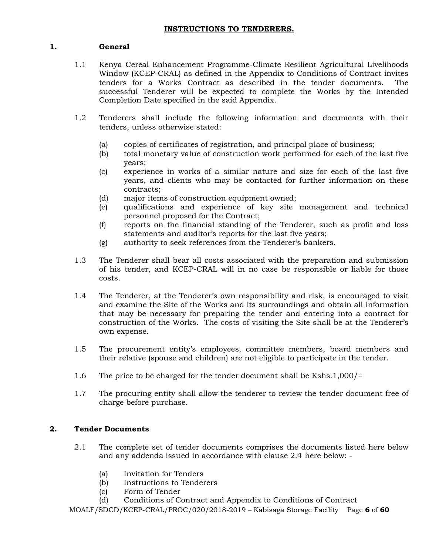## **1. General**

- 1.1 Kenya Cereal Enhancement Programme-Climate Resilient Agricultural Livelihoods Window (KCEP-CRAL) as defined in the Appendix to Conditions of Contract invites tenders for a Works Contract as described in the tender documents. The successful Tenderer will be expected to complete the Works by the Intended Completion Date specified in the said Appendix.
- 1.2 Tenderers shall include the following information and documents with their tenders, unless otherwise stated:
	- (a) copies of certificates of registration, and principal place of business;
	- (b) total monetary value of construction work performed for each of the last five years;
	- (c) experience in works of a similar nature and size for each of the last five years, and clients who may be contacted for further information on these contracts;
	- (d) major items of construction equipment owned;
	- (e) qualifications and experience of key site management and technical personnel proposed for the Contract;
	- (f) reports on the financial standing of the Tenderer, such as profit and loss statements and auditor's reports for the last five years;
	- (g) authority to seek references from the Tenderer's bankers.
- 1.3 The Tenderer shall bear all costs associated with the preparation and submission of his tender, and KCEP-CRAL will in no case be responsible or liable for those costs.
- 1.4 The Tenderer, at the Tenderer's own responsibility and risk, is encouraged to visit and examine the Site of the Works and its surroundings and obtain all information that may be necessary for preparing the tender and entering into a contract for construction of the Works. The costs of visiting the Site shall be at the Tenderer's own expense.
- 1.5 The procurement entity's employees, committee members, board members and their relative (spouse and children) are not eligible to participate in the tender.
- 1.6 The price to be charged for the tender document shall be Kshs.1,000/=
- 1.7 The procuring entity shall allow the tenderer to review the tender document free of charge before purchase.

## **2. Tender Documents**

- 2.1 The complete set of tender documents comprises the documents listed here below and any addenda issued in accordance with clause 2.4 here below: -
	- (a) Invitation for Tenders
	- (b) Instructions to Tenderers
	- (c) Form of Tender
	- (d) Conditions of Contract and Appendix to Conditions of Contract

MOALF/SDCD/KCEP-CRAL/PROC/020/2018-2019 – Kabisaga Storage Facility Page **6** of **60**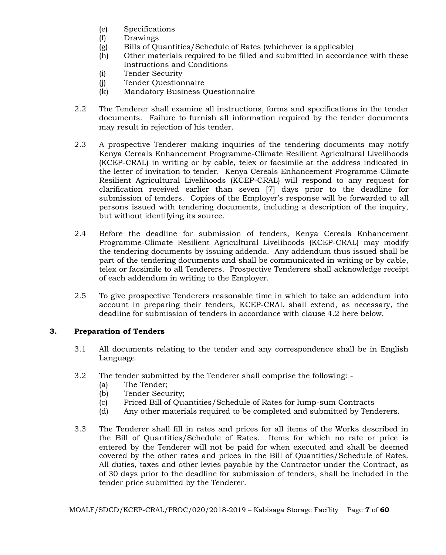- (e) Specifications
- (f) Drawings
- (g) Bills of Quantities/Schedule of Rates (whichever is applicable)
- (h) Other materials required to be filled and submitted in accordance with these Instructions and Conditions
- (i) Tender Security
- (j) Tender Questionnaire
- (k) Mandatory Business Questionnaire
- 2.2 The Tenderer shall examine all instructions, forms and specifications in the tender documents. Failure to furnish all information required by the tender documents may result in rejection of his tender.
- 2.3 A prospective Tenderer making inquiries of the tendering documents may notify Kenya Cereals Enhancement Programme-Climate Resilient Agricultural Livelihoods (KCEP-CRAL) in writing or by cable, telex or facsimile at the address indicated in the letter of invitation to tender. Kenya Cereals Enhancement Programme-Climate Resilient Agricultural Livelihoods (KCEP-CRAL) will respond to any request for clarification received earlier than seven [7] days prior to the deadline for submission of tenders. Copies of the Employer's response will be forwarded to all persons issued with tendering documents, including a description of the inquiry, but without identifying its source.
- 2.4 Before the deadline for submission of tenders, Kenya Cereals Enhancement Programme-Climate Resilient Agricultural Livelihoods (KCEP-CRAL) may modify the tendering documents by issuing addenda. Any addendum thus issued shall be part of the tendering documents and shall be communicated in writing or by cable, telex or facsimile to all Tenderers. Prospective Tenderers shall acknowledge receipt of each addendum in writing to the Employer.
- 2.5 To give prospective Tenderers reasonable time in which to take an addendum into account in preparing their tenders, KCEP-CRAL shall extend, as necessary, the deadline for submission of tenders in accordance with clause 4.2 here below.

## **3. Preparation of Tenders**

- 3.1 All documents relating to the tender and any correspondence shall be in English Language.
- 3.2 The tender submitted by the Tenderer shall comprise the following:
	- (a) The Tender;
	- (b) Tender Security;
	- (c) Priced Bill of Quantities/Schedule of Rates for lump-sum Contracts
	- (d) Any other materials required to be completed and submitted by Tenderers.
- 3.3 The Tenderer shall fill in rates and prices for all items of the Works described in the Bill of Quantities/Schedule of Rates. Items for which no rate or price is entered by the Tenderer will not be paid for when executed and shall be deemed covered by the other rates and prices in the Bill of Quantities/Schedule of Rates. All duties, taxes and other levies payable by the Contractor under the Contract, as of 30 days prior to the deadline for submission of tenders, shall be included in the tender price submitted by the Tenderer.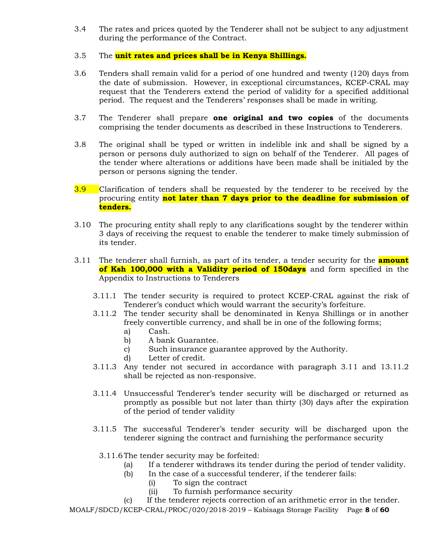3.4 The rates and prices quoted by the Tenderer shall not be subject to any adjustment during the performance of the Contract.

## 3.5 The **unit rates and prices shall be in Kenya Shillings.**

- 3.6 Tenders shall remain valid for a period of one hundred and twenty (120) days from the date of submission. However, in exceptional circumstances, KCEP-CRAL may request that the Tenderers extend the period of validity for a specified additional period. The request and the Tenderers' responses shall be made in writing.
- 3.7 The Tenderer shall prepare **one original and two copies** of the documents comprising the tender documents as described in these Instructions to Tenderers.
- 3.8 The original shall be typed or written in indelible ink and shall be signed by a person or persons duly authorized to sign on behalf of the Tenderer. All pages of the tender where alterations or additions have been made shall be initialed by the person or persons signing the tender.
- 3.9 Clarification of tenders shall be requested by the tenderer to be received by the procuring entity **not later than 7 days prior to the deadline for submission of tenders.**
- 3.10 The procuring entity shall reply to any clarifications sought by the tenderer within 3 days of receiving the request to enable the tenderer to make timely submission of its tender.
- 3.11 The tenderer shall furnish, as part of its tender, a tender security for the **amount of Ksh 100,000 with a Validity period of 150days** and form specified in the Appendix to Instructions to Tenderers
	- 3.11.1 The tender security is required to protect KCEP-CRAL against the risk of Tenderer's conduct which would warrant the security's forfeiture.
	- 3.11.2 The tender security shall be denominated in Kenya Shillings or in another freely convertible currency, and shall be in one of the following forms;
		- a) Cash.
		- b) A bank Guarantee.
		- c) Such insurance guarantee approved by the Authority.
		- d) Letter of credit.
	- 3.11.3 Any tender not secured in accordance with paragraph 3.11 and 13.11.2 shall be rejected as non-responsive.
	- 3.11.4 Unsuccessful Tenderer's tender security will be discharged or returned as promptly as possible but not later than thirty (30) days after the expiration of the period of tender validity
	- 3.11.5 The successful Tenderer's tender security will be discharged upon the tenderer signing the contract and furnishing the performance security
		- 3.11.6The tender security may be forfeited:
			- (a) If a tenderer withdraws its tender during the period of tender validity.
			- (b) In the case of a successful tenderer, if the tenderer fails:
				- (i) To sign the contract
					- (ii) To furnish performance security

(c) If the tenderer rejects correction of an arithmetic error in the tender.

MOALF/SDCD/KCEP-CRAL/PROC/020/2018-2019 – Kabisaga Storage Facility Page **8** of **60**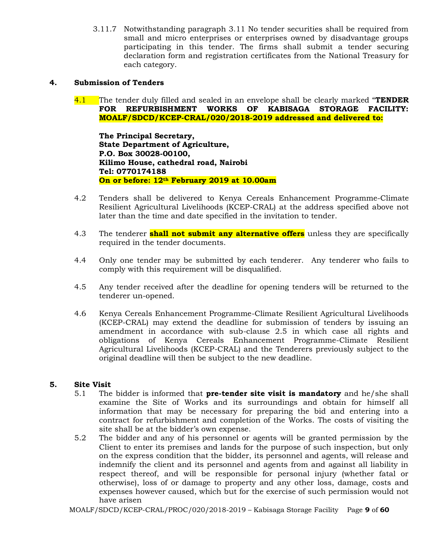3.11.7 Notwithstanding paragraph 3.11 No tender securities shall be required from small and micro enterprises or enterprises owned by disadvantage groups participating in this tender. The firms shall submit a tender securing declaration form and registration certificates from the National Treasury for each category.

## **4. Submission of Tenders**

4.1 The tender duly filled and sealed in an envelope shall be clearly marked "**TENDER FOR REFURBISHMENT WORKS OF KABISAGA STORAGE FACILITY: MOALF/SDCD/KCEP-CRAL/020/2018-2019 addressed and delivered to:**

**The Principal Secretary, State Department of Agriculture, P.O. Box 30028-00100, Kilimo House, cathedral road, Nairobi Tel: 0770174188 On or before: 12th February 2019 at 10.00am**

- 4.2 Tenders shall be delivered to Kenya Cereals Enhancement Programme-Climate Resilient Agricultural Livelihoods (KCEP-CRAL) at the address specified above not later than the time and date specified in the invitation to tender.
- 4.3 The tenderer **shall not submit any alternative offers** unless they are specifically required in the tender documents.
- 4.4 Only one tender may be submitted by each tenderer. Any tenderer who fails to comply with this requirement will be disqualified.
- 4.5 Any tender received after the deadline for opening tenders will be returned to the tenderer un-opened.
- 4.6 Kenya Cereals Enhancement Programme-Climate Resilient Agricultural Livelihoods (KCEP-CRAL) may extend the deadline for submission of tenders by issuing an amendment in accordance with sub-clause 2.5 in which case all rights and obligations of Kenya Cereals Enhancement Programme-Climate Resilient Agricultural Livelihoods (KCEP-CRAL) and the Tenderers previously subject to the original deadline will then be subject to the new deadline.

#### **5. Site Visit**

- 5.1 The bidder is informed that **pre-tender site visit is mandatory** and he/she shall examine the Site of Works and its surroundings and obtain for himself all information that may be necessary for preparing the bid and entering into a contract for refurbishment and completion of the Works. The costs of visiting the site shall be at the bidder's own expense.
- 5.2 The bidder and any of his personnel or agents will be granted permission by the Client to enter its premises and lands for the purpose of such inspection, but only on the express condition that the bidder, its personnel and agents, will release and indemnify the client and its personnel and agents from and against all liability in respect thereof, and will be responsible for personal injury (whether fatal or otherwise), loss of or damage to property and any other loss, damage, costs and expenses however caused, which but for the exercise of such permission would not have arisen

MOALF/SDCD/KCEP-CRAL/PROC/020/2018-2019 – Kabisaga Storage Facility Page **9** of **60**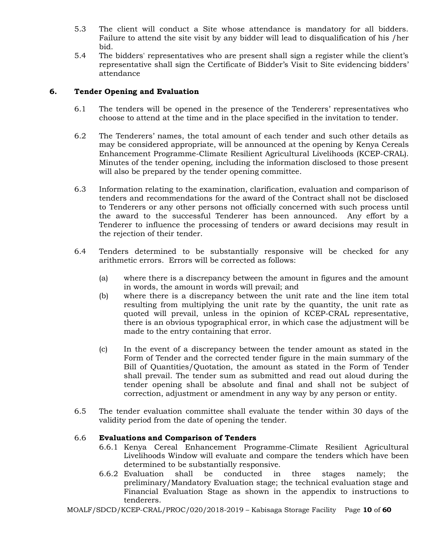- 5.3 The client will conduct a Site whose attendance is mandatory for all bidders. Failure to attend the site visit by any bidder will lead to disqualification of his /her bid.
- 5.4 The bidders' representatives who are present shall sign a register while the client's representative shall sign the Certificate of Bidder's Visit to Site evidencing bidders' attendance

## **6. Tender Opening and Evaluation**

- 6.1 The tenders will be opened in the presence of the Tenderers' representatives who choose to attend at the time and in the place specified in the invitation to tender.
- 6.2 The Tenderers' names, the total amount of each tender and such other details as may be considered appropriate, will be announced at the opening by Kenya Cereals Enhancement Programme-Climate Resilient Agricultural Livelihoods (KCEP-CRAL). Minutes of the tender opening, including the information disclosed to those present will also be prepared by the tender opening committee.
- 6.3 Information relating to the examination, clarification, evaluation and comparison of tenders and recommendations for the award of the Contract shall not be disclosed to Tenderers or any other persons not officially concerned with such process until the award to the successful Tenderer has been announced. Any effort by a Tenderer to influence the processing of tenders or award decisions may result in the rejection of their tender.
- 6.4 Tenders determined to be substantially responsive will be checked for any arithmetic errors. Errors will be corrected as follows:
	- (a) where there is a discrepancy between the amount in figures and the amount in words, the amount in words will prevail; and
	- (b) where there is a discrepancy between the unit rate and the line item total resulting from multiplying the unit rate by the quantity, the unit rate as quoted will prevail, unless in the opinion of KCEP-CRAL representative, there is an obvious typographical error, in which case the adjustment will be made to the entry containing that error.
	- (c) In the event of a discrepancy between the tender amount as stated in the Form of Tender and the corrected tender figure in the main summary of the Bill of Quantities/Quotation, the amount as stated in the Form of Tender shall prevail. The tender sum as submitted and read out aloud during the tender opening shall be absolute and final and shall not be subject of correction, adjustment or amendment in any way by any person or entity.
- 6.5 The tender evaluation committee shall evaluate the tender within 30 days of the validity period from the date of opening the tender.

## 6.6 **Evaluations and Comparison of Tenders**

- 6.6.1 Kenya Cereal Enhancement Programme-Climate Resilient Agricultural Livelihoods Window will evaluate and compare the tenders which have been determined to be substantially responsive.
- 6.6.2 Evaluation shall be conducted in three stages namely; the preliminary/Mandatory Evaluation stage; the technical evaluation stage and Financial Evaluation Stage as shown in the appendix to instructions to tenderers.

MOALF/SDCD/KCEP-CRAL/PROC/020/2018-2019 – Kabisaga Storage Facility Page **10** of **60**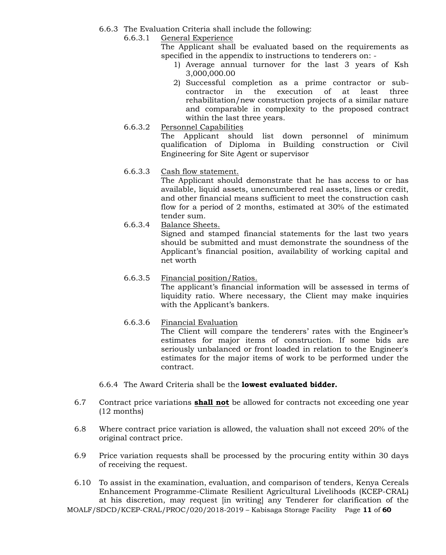- 6.6.3 The Evaluation Criteria shall include the following:
	- 6.6.3.1 General Experience
		- The Applicant shall be evaluated based on the requirements as specified in the appendix to instructions to tenderers on: -
			- 1) Average annual turnover for the last 3 years of Ksh 3,000,000.00
			- 2) Successful completion as a prime contractor or subcontractor in the execution of at least three rehabilitation/new construction projects of a similar nature and comparable in complexity to the proposed contract within the last three years.
	- 6.6.3.2 Personnel Capabilities

The Applicant should list down personnel of minimum qualification of Diploma in Building construction or Civil Engineering for Site Agent or supervisor

6.6.3.3 Cash flow statement.

The Applicant should demonstrate that he has access to or has available, liquid assets, unencumbered real assets, lines or credit, and other financial means sufficient to meet the construction cash flow for a period of 2 months, estimated at 30% of the estimated tender sum.

- 6.6.3.4 Balance Sheets. Signed and stamped financial statements for the last two years should be submitted and must demonstrate the soundness of the Applicant's financial position, availability of working capital and net worth
- 6.6.3.5 Financial position/Ratios. The applicant's financial information will be assessed in terms of liquidity ratio. Where necessary, the Client may make inquiries with the Applicant's bankers.
- 6.6.3.6 Financial Evaluation The Client will compare the tenderers' rates with the Engineer's estimates for major items of construction. If some bids are seriously unbalanced or front loaded in relation to the Engineer's estimates for the major items of work to be performed under the contract.
- 6.6.4 The Award Criteria shall be the **lowest evaluated bidder.**
- 6.7 Contract price variations **shall not** be allowed for contracts not exceeding one year (12 months)
- 6.8 Where contract price variation is allowed, the valuation shall not exceed 20% of the original contract price.
- 6.9 Price variation requests shall be processed by the procuring entity within 30 days of receiving the request.

MOALF/SDCD/KCEP-CRAL/PROC/020/2018-2019 – Kabisaga Storage Facility Page **11** of **60** 6.10 To assist in the examination, evaluation, and comparison of tenders, Kenya Cereals Enhancement Programme-Climate Resilient Agricultural Livelihoods (KCEP-CRAL) at his discretion, may request [in writing] any Tenderer for clarification of the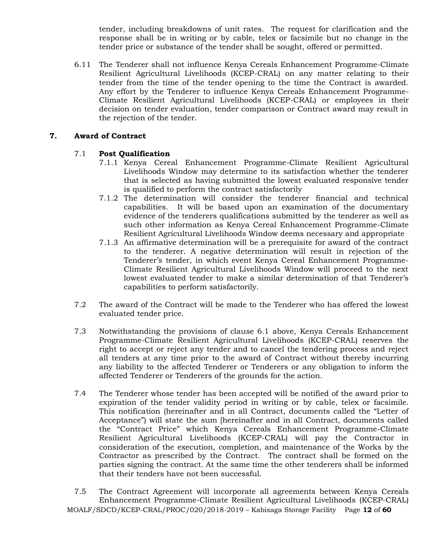tender, including breakdowns of unit rates. The request for clarification and the response shall be in writing or by cable, telex or facsimile but no change in the tender price or substance of the tender shall be sought, offered or permitted.

6.11 The Tenderer shall not influence Kenya Cereals Enhancement Programme-Climate Resilient Agricultural Livelihoods (KCEP-CRAL) on any matter relating to their tender from the time of the tender opening to the time the Contract is awarded. Any effort by the Tenderer to influence Kenya Cereals Enhancement Programme-Climate Resilient Agricultural Livelihoods (KCEP-CRAL) or employees in their decision on tender evaluation, tender comparison or Contract award may result in the rejection of the tender.

## **7. Award of Contract**

## 7.1 **Post Qualification**

- 7.1.1 Kenya Cereal Enhancement Programme-Climate Resilient Agricultural Livelihoods Window may determine to its satisfaction whether the tenderer that is selected as having submitted the lowest evaluated responsive tender is qualified to perform the contract satisfactorily
- 7.1.2 The determination will consider the tenderer financial and technical capabilities. It will be based upon an examination of the documentary evidence of the tenderers qualifications submitted by the tenderer as well as such other information as Kenya Cereal Enhancement Programme-Climate Resilient Agricultural Livelihoods Window deems necessary and appropriate
- 7.1.3 An affirmative determination will be a prerequisite for award of the contract to the tenderer. A negative determination will result in rejection of the Tenderer's tender, in which event Kenya Cereal Enhancement Programme-Climate Resilient Agricultural Livelihoods Window will proceed to the next lowest evaluated tender to make a similar determination of that Tenderer's capabilities to perform satisfactorily.
- 7.2 The award of the Contract will be made to the Tenderer who has offered the lowest evaluated tender price.
- 7.3 Notwithstanding the provisions of clause 6.1 above, Kenya Cereals Enhancement Programme-Climate Resilient Agricultural Livelihoods (KCEP-CRAL) reserves the right to accept or reject any tender and to cancel the tendering process and reject all tenders at any time prior to the award of Contract without thereby incurring any liability to the affected Tenderer or Tenderers or any obligation to inform the affected Tenderer or Tenderers of the grounds for the action.
- 7.4 The Tenderer whose tender has been accepted will be notified of the award prior to expiration of the tender validity period in writing or by cable, telex or facsimile. This notification (hereinafter and in all Contract, documents called the "Letter of Acceptance") will state the sum [hereinafter and in all Contract, documents called the "Contract Price" which Kenya Cereals Enhancement Programme-Climate Resilient Agricultural Livelihoods (KCEP-CRAL) will pay the Contractor in consideration of the execution, completion, and maintenance of the Works by the Contractor as prescribed by the Contract. The contract shall be formed on the parties signing the contract. At the same time the other tenderers shall be informed that their tenders have not been successful.
- MOALF/SDCD/KCEP-CRAL/PROC/020/2018-2019 Kabisaga Storage Facility Page **12** of **60** 7.5 The Contract Agreement will incorporate all agreements between Kenya Cereals Enhancement Programme-Climate Resilient Agricultural Livelihoods (KCEP-CRAL)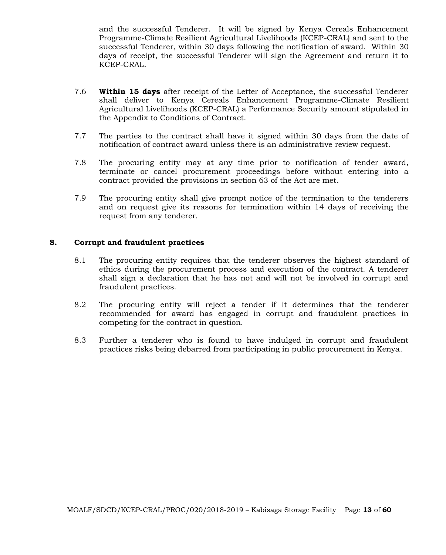and the successful Tenderer. It will be signed by Kenya Cereals Enhancement Programme-Climate Resilient Agricultural Livelihoods (KCEP-CRAL) and sent to the successful Tenderer, within 30 days following the notification of award. Within 30 days of receipt, the successful Tenderer will sign the Agreement and return it to KCEP-CRAL.

- 7.6 **Within 15 days** after receipt of the Letter of Acceptance, the successful Tenderer shall deliver to Kenya Cereals Enhancement Programme-Climate Resilient Agricultural Livelihoods (KCEP-CRAL) a Performance Security amount stipulated in the Appendix to Conditions of Contract.
- 7.7 The parties to the contract shall have it signed within 30 days from the date of notification of contract award unless there is an administrative review request.
- 7.8 The procuring entity may at any time prior to notification of tender award, terminate or cancel procurement proceedings before without entering into a contract provided the provisions in section 63 of the Act are met.
- 7.9 The procuring entity shall give prompt notice of the termination to the tenderers and on request give its reasons for termination within 14 days of receiving the request from any tenderer.

#### **8. Corrupt and fraudulent practices**

- 8.1 The procuring entity requires that the tenderer observes the highest standard of ethics during the procurement process and execution of the contract. A tenderer shall sign a declaration that he has not and will not be involved in corrupt and fraudulent practices.
- 8.2 The procuring entity will reject a tender if it determines that the tenderer recommended for award has engaged in corrupt and fraudulent practices in competing for the contract in question.
- 8.3 Further a tenderer who is found to have indulged in corrupt and fraudulent practices risks being debarred from participating in public procurement in Kenya.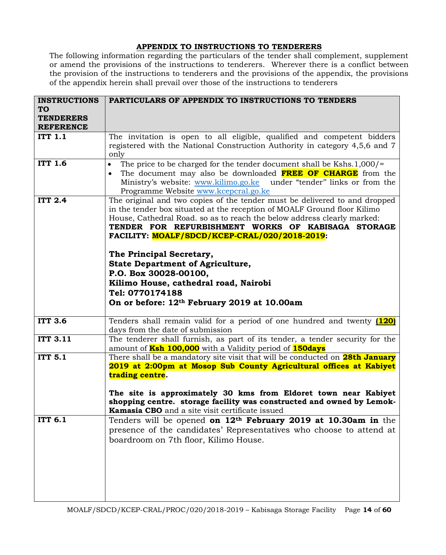# **APPENDIX TO INSTRUCTIONS TO TENDERERS**

The following information regarding the particulars of the tender shall complement, supplement or amend the provisions of the instructions to tenderers. Wherever there is a conflict between the provision of the instructions to tenderers and the provisions of the appendix, the provisions of the appendix herein shall prevail over those of the instructions to tenderers

| <b>INSTRUCTIONS</b> | PARTICULARS OF APPENDIX TO INSTRUCTIONS TO TENDERS                                  |
|---------------------|-------------------------------------------------------------------------------------|
| <b>TO</b>           |                                                                                     |
| <b>TENDERERS</b>    |                                                                                     |
| <b>REFERENCE</b>    |                                                                                     |
| <b>ITT 1.1</b>      | The invitation is open to all eligible, qualified and competent bidders             |
|                     |                                                                                     |
|                     | registered with the National Construction Authority in category 4,5,6 and 7         |
|                     | only                                                                                |
| <b>ITT 1.6</b>      | The price to be charged for the tender document shall be Kshs.1,000/=<br>$\bullet$  |
|                     | The document may also be downloaded FREE OF CHARGE from the<br>$\bullet$            |
|                     | Ministry's website: www.kilimo.go.ke under "tender" links or from the               |
|                     | Programme Website www.kcepcral.go.ke                                                |
| <b>ITT 2.4</b>      | The original and two copies of the tender must be delivered to and dropped          |
|                     | in the tender box situated at the reception of MOALF Ground floor Kilimo            |
|                     | House, Cathedral Road. so as to reach the below address clearly marked:             |
|                     | TENDER FOR REFURBISHMENT WORKS OF KABISAGA STORAGE                                  |
|                     |                                                                                     |
|                     | FACILITY: MOALF/SDCD/KCEP-CRAL/020/2018-2019:                                       |
|                     |                                                                                     |
|                     | The Principal Secretary,                                                            |
|                     | <b>State Department of Agriculture,</b>                                             |
|                     | P.O. Box 30028-00100,                                                               |
|                     | Kilimo House, cathedral road, Nairobi                                               |
|                     | Tel: 0770174188                                                                     |
|                     |                                                                                     |
|                     | On or before: 12th February 2019 at 10.00am                                         |
|                     |                                                                                     |
| <b>ITT 3.6</b>      | Tenders shall remain valid for a period of one hundred and twenty (120)             |
|                     | days from the date of submission                                                    |
| <b>ITT 3.11</b>     | The tenderer shall furnish, as part of its tender, a tender security for the        |
|                     | amount of <b>Ksh 100,000</b> with a Validity period of <b>150days</b>               |
| <b>ITT 5.1</b>      | There shall be a mandatory site visit that will be conducted on <b>28th January</b> |
|                     | 2019 at 2:00pm at Mosop Sub County Agricultural offices at Kabiyet                  |
|                     | trading centre.                                                                     |
|                     |                                                                                     |
|                     | The site is approximately 30 kms from Eldoret town near Kabiyet                     |
|                     | shopping centre. storage facility was constructed and owned by Lemok-               |
|                     | Kamasia CBO and a site visit certificate issued                                     |
| <b>ITT 6.1</b>      | Tenders will be opened on 12 <sup>th</sup> February 2019 at 10.30am in the          |
|                     |                                                                                     |
|                     | presence of the candidates' Representatives who choose to attend at                 |
|                     | boardroom on 7th floor, Kilimo House.                                               |
|                     |                                                                                     |
|                     |                                                                                     |
|                     |                                                                                     |
|                     |                                                                                     |
|                     |                                                                                     |
|                     |                                                                                     |
|                     |                                                                                     |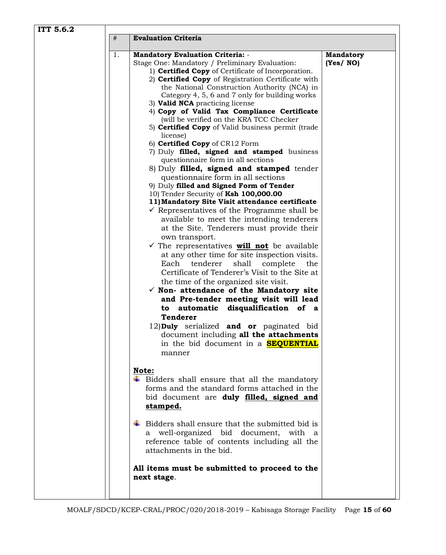| ITT 5.6.2 |                                                                                                                                                                                                                                                                                                                                                                                                                                                                                                                                                                                                                                                                                                                                                                                                                                                                                                                                                                                                                                                                                                                                                                                                                                                                                                                                                                                                                                                                                                                                                                                                                       |                              |
|-----------|-----------------------------------------------------------------------------------------------------------------------------------------------------------------------------------------------------------------------------------------------------------------------------------------------------------------------------------------------------------------------------------------------------------------------------------------------------------------------------------------------------------------------------------------------------------------------------------------------------------------------------------------------------------------------------------------------------------------------------------------------------------------------------------------------------------------------------------------------------------------------------------------------------------------------------------------------------------------------------------------------------------------------------------------------------------------------------------------------------------------------------------------------------------------------------------------------------------------------------------------------------------------------------------------------------------------------------------------------------------------------------------------------------------------------------------------------------------------------------------------------------------------------------------------------------------------------------------------------------------------------|------------------------------|
|           | $\#$<br><b>Evaluation Criteria</b>                                                                                                                                                                                                                                                                                                                                                                                                                                                                                                                                                                                                                                                                                                                                                                                                                                                                                                                                                                                                                                                                                                                                                                                                                                                                                                                                                                                                                                                                                                                                                                                    |                              |
|           | 1.<br><b>Mandatory Evaluation Criteria: -</b><br>Stage One: Mandatory / Preliminary Evaluation:<br>1) <b>Certified Copy</b> of Certificate of Incorporation.<br>2) Certified Copy of Registration Certificate with<br>the National Construction Authority (NCA) in<br>Category 4, 5, 6 and 7 only for building works<br>3) Valid NCA practicing license<br>4) Copy of Valid Tax Compliance Certificate<br>(will be verified on the KRA TCC Checker<br>5) Certified Copy of Valid business permit (trade<br>license)<br>6) Certified Copy of CR12 Form<br>7) Duly filled, signed and stamped business<br>questionnaire form in all sections<br>8) Duly filled, signed and stamped tender<br>questionnaire form in all sections<br>9) Duly filled and Signed Form of Tender<br>10) Tender Security of Ksh 100,000.00<br>11) Mandatory Site Visit attendance certificate<br>$\checkmark$ Representatives of the Programme shall be<br>available to meet the intending tenderers<br>at the Site. Tenderers must provide their<br>own transport.<br>$\checkmark$ The representatives <b>will not</b> be available<br>at any other time for site inspection visits.<br>shall<br>Each<br>tenderer<br>complete<br>the<br>Certificate of Tenderer's Visit to the Site at<br>the time of the organized site visit.<br>$\checkmark$ Non- attendance of the Mandatory site<br>and Pre-tender meeting visit will lead<br>disqualification of a<br>automatic<br>to<br><b>Tenderer</b><br>12) Duly serialized and or paginated bid<br>document including all the attachments<br>in the bid document in a <b>SEQUENTIAL</b><br>manner | <b>Mandatory</b><br>(Yes/NO) |
|           | Note:<br>$\ddot{\bullet}$ Bidders shall ensure that all the mandatory<br>forms and the standard forms attached in the<br>bid document are duly filled, signed and<br>stamped.<br>$\overline{\phantom{a}}$ Bidders shall ensure that the submitted bid is<br>a well-organized bid document, with a<br>reference table of contents including all the<br>attachments in the bid.<br>All items must be submitted to proceed to the                                                                                                                                                                                                                                                                                                                                                                                                                                                                                                                                                                                                                                                                                                                                                                                                                                                                                                                                                                                                                                                                                                                                                                                        |                              |
|           | next stage.                                                                                                                                                                                                                                                                                                                                                                                                                                                                                                                                                                                                                                                                                                                                                                                                                                                                                                                                                                                                                                                                                                                                                                                                                                                                                                                                                                                                                                                                                                                                                                                                           |                              |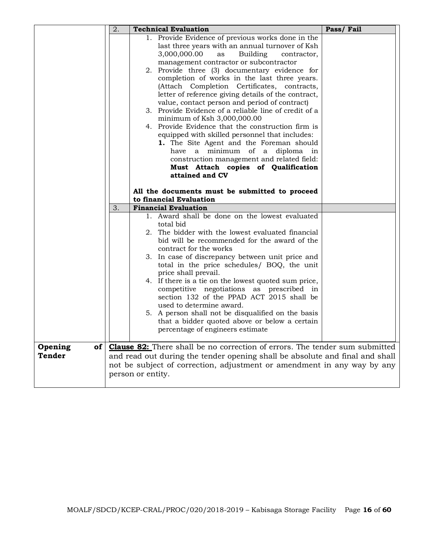|                                           | 2. | <b>Technical Evaluation</b>                                                                                                                                                                                                                                                                                                                                                                                                                                                                                                                                                                                                                    | Pass/Fail |
|-------------------------------------------|----|------------------------------------------------------------------------------------------------------------------------------------------------------------------------------------------------------------------------------------------------------------------------------------------------------------------------------------------------------------------------------------------------------------------------------------------------------------------------------------------------------------------------------------------------------------------------------------------------------------------------------------------------|-----------|
|                                           |    | 1. Provide Evidence of previous works done in the<br>last three years with an annual turnover of Ksh<br>3,000,000.00<br><b>Building</b><br>as<br>contractor,<br>management contractor or subcontractor<br>2. Provide three (3) documentary evidence for<br>completion of works in the last three years.<br>(Attach Completion Certificates, contracts,<br>letter of reference giving details of the contract,<br>value, contact person and period of contract)<br>3. Provide Evidence of a reliable line of credit of a<br>minimum of Ksh 3,000,000.00                                                                                         |           |
|                                           |    | 4. Provide Evidence that the construction firm is<br>equipped with skilled personnel that includes:<br>1. The Site Agent and the Foreman should<br>have a minimum of a diploma in<br>construction management and related field:<br>Must Attach copies of Qualification<br>attained and CV<br>All the documents must be submitted to proceed<br>to financial Evaluation                                                                                                                                                                                                                                                                         |           |
|                                           | 3. | <b>Financial Evaluation</b>                                                                                                                                                                                                                                                                                                                                                                                                                                                                                                                                                                                                                    |           |
|                                           |    | 1. Award shall be done on the lowest evaluated<br>total bid<br>2. The bidder with the lowest evaluated financial<br>bid will be recommended for the award of the<br>contract for the works<br>3. In case of discrepancy between unit price and<br>total in the price schedules/ BOQ, the unit<br>price shall prevail.<br>4. If there is a tie on the lowest quoted sum price,<br>competitive negotiations as prescribed in<br>section 132 of the PPAD ACT 2015 shall be<br>used to determine award.<br>5. A person shall not be disqualified on the basis<br>that a bidder quoted above or below a certain<br>percentage of engineers estimate |           |
| $of \sqrt{2}$<br>Opening<br><b>Tender</b> |    | <b>Clause 82:</b> There shall be no correction of errors. The tender sum submitted<br>and read out during the tender opening shall be absolute and final and shall<br>not be subject of correction, adjustment or amendment in any way by any<br>person or entity.                                                                                                                                                                                                                                                                                                                                                                             |           |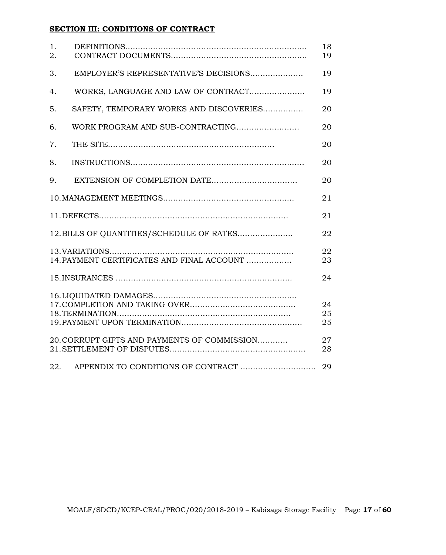# **SECTION III: CONDITIONS OF CONTRACT**

| 1.<br>2. |                                              | 18<br>19       |
|----------|----------------------------------------------|----------------|
| 3.       | EMPLOYER'S REPRESENTATIVE'S DECISIONS        | 19             |
| 4.       | WORKS, LANGUAGE AND LAW OF CONTRACT          | 19             |
| 5.       | SAFETY, TEMPORARY WORKS AND DISCOVERIES      | 20             |
| 6.       |                                              | 20             |
| 7.       |                                              | 20             |
| 8.       |                                              | 20             |
| 9.       |                                              | 20             |
|          |                                              | 21             |
|          |                                              | 21             |
|          | 12. BILLS OF QUANTITIES/SCHEDULE OF RATES    | 22             |
|          | 14. PAYMENT CERTIFICATES AND FINAL ACCOUNT   | 22<br>23       |
|          |                                              | 24             |
|          |                                              | 24<br>25<br>25 |
|          | 20. CORRUPT GIFTS AND PAYMENTS OF COMMISSION | 27<br>28       |
| 22.      | APPENDIX TO CONDITIONS OF CONTRACT           | 29             |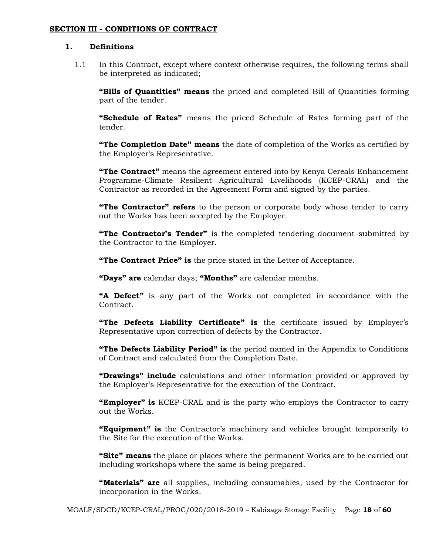#### **SECTION III - CONDITIONS OF CONTRACT**

## **1. Definitions**

1.1 In this Contract, except where context otherwise requires, the following terms shall be interpreted as indicated;

**"Bills of Quantities" means** the priced and completed Bill of Quantities forming part of the tender.

**"Schedule of Rates"** means the priced Schedule of Rates forming part of the tender.

**"The Completion Date" means** the date of completion of the Works as certified by the Employer's Representative.

**"The Contract"** means the agreement entered into by Kenya Cereals Enhancement Programme-Climate Resilient Agricultural Livelihoods (KCEP-CRAL) and the Contractor as recorded in the Agreement Form and signed by the parties.

**"The Contractor" refers** to the person or corporate body whose tender to carry out the Works has been accepted by the Employer.

**"The Contractor's Tender"** is the completed tendering document submitted by the Contractor to the Employer.

**"The Contract Price" is** the price stated in the Letter of Acceptance.

**"Days" are** calendar days; **"Months"** are calendar months.

**"A Defect"** is any part of the Works not completed in accordance with the Contract.

**"The Defects Liability Certificate" is** the certificate issued by Employer's Representative upon correction of defects by the Contractor.

**"The Defects Liability Period" is** the period named in the Appendix to Conditions of Contract and calculated from the Completion Date.

**"Drawings" include** calculations and other information provided or approved by the Employer's Representative for the execution of the Contract.

**"Employer" is** KCEP-CRAL and is the party who employs the Contractor to carry out the Works.

**"Equipment" is** the Contractor's machinery and vehicles brought temporarily to the Site for the execution of the Works.

**"Site" means** the place or places where the permanent Works are to be carried out including workshops where the same is being prepared.

**"Materials" are** all supplies, including consumables, used by the Contractor for incorporation in the Works.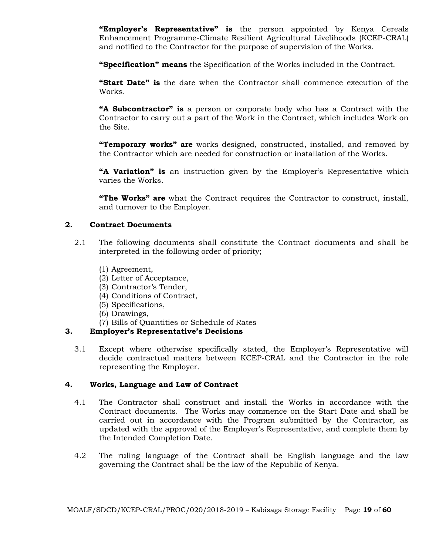**"Employer's Representative" is** the person appointed by Kenya Cereals Enhancement Programme-Climate Resilient Agricultural Livelihoods (KCEP-CRAL) and notified to the Contractor for the purpose of supervision of the Works.

**"Specification" means** the Specification of the Works included in the Contract.

**"Start Date" is** the date when the Contractor shall commence execution of the Works.

**"A Subcontractor" is** a person or corporate body who has a Contract with the Contractor to carry out a part of the Work in the Contract, which includes Work on the Site.

**"Temporary works" are** works designed, constructed, installed, and removed by the Contractor which are needed for construction or installation of the Works.

**"A Variation" is** an instruction given by the Employer's Representative which varies the Works.

**"The Works" are** what the Contract requires the Contractor to construct, install, and turnover to the Employer.

#### **2. Contract Documents**

- 2.1 The following documents shall constitute the Contract documents and shall be interpreted in the following order of priority;
	- (1) Agreement,
	- (2) Letter of Acceptance,
	- (3) Contractor's Tender,
	- (4) Conditions of Contract,
	- (5) Specifications,
	- (6) Drawings,
	- (7) Bills of Quantities or Schedule of Rates

## **3. Employer's Representative's Decisions**

3.1 Except where otherwise specifically stated, the Employer's Representative will decide contractual matters between KCEP-CRAL and the Contractor in the role representing the Employer.

#### **4. Works, Language and Law of Contract**

- 4.1 The Contractor shall construct and install the Works in accordance with the Contract documents. The Works may commence on the Start Date and shall be carried out in accordance with the Program submitted by the Contractor, as updated with the approval of the Employer's Representative, and complete them by the Intended Completion Date.
- 4.2 The ruling language of the Contract shall be English language and the law governing the Contract shall be the law of the Republic of Kenya.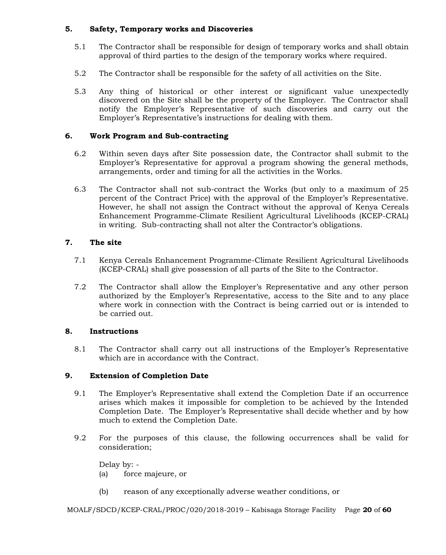## **5. Safety, Temporary works and Discoveries**

- 5.1 The Contractor shall be responsible for design of temporary works and shall obtain approval of third parties to the design of the temporary works where required.
- 5.2 The Contractor shall be responsible for the safety of all activities on the Site.
- 5.3 Any thing of historical or other interest or significant value unexpectedly discovered on the Site shall be the property of the Employer. The Contractor shall notify the Employer's Representative of such discoveries and carry out the Employer's Representative's instructions for dealing with them.

## **6. Work Program and Sub-contracting**

- 6.2 Within seven days after Site possession date, the Contractor shall submit to the Employer's Representative for approval a program showing the general methods, arrangements, order and timing for all the activities in the Works.
- 6.3 The Contractor shall not sub-contract the Works (but only to a maximum of 25 percent of the Contract Price) with the approval of the Employer's Representative. However, he shall not assign the Contract without the approval of Kenya Cereals Enhancement Programme-Climate Resilient Agricultural Livelihoods (KCEP-CRAL) in writing. Sub-contracting shall not alter the Contractor's obligations.

## **7. The site**

- 7.1 Kenya Cereals Enhancement Programme-Climate Resilient Agricultural Livelihoods (KCEP-CRAL) shall give possession of all parts of the Site to the Contractor.
- 7.2 The Contractor shall allow the Employer's Representative and any other person authorized by the Employer's Representative, access to the Site and to any place where work in connection with the Contract is being carried out or is intended to be carried out.

## **8. Instructions**

8.1 The Contractor shall carry out all instructions of the Employer's Representative which are in accordance with the Contract.

## **9. Extension of Completion Date**

- 9.1 The Employer's Representative shall extend the Completion Date if an occurrence arises which makes it impossible for completion to be achieved by the Intended Completion Date. The Employer's Representative shall decide whether and by how much to extend the Completion Date.
- 9.2 For the purposes of this clause, the following occurrences shall be valid for consideration;

Delay by: - (a) force majeure, or

(b) reason of any exceptionally adverse weather conditions, or

MOALF/SDCD/KCEP-CRAL/PROC/020/2018-2019 – Kabisaga Storage Facility Page **20** of **60**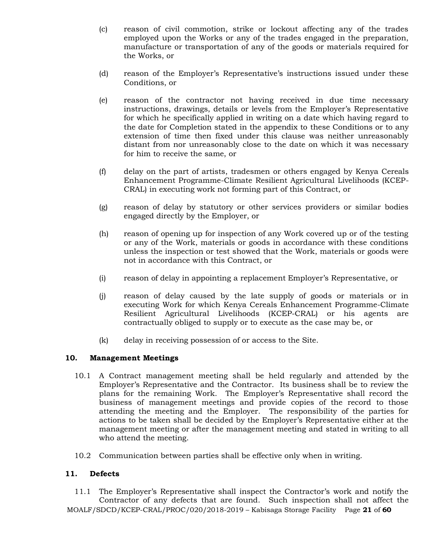- (c) reason of civil commotion, strike or lockout affecting any of the trades employed upon the Works or any of the trades engaged in the preparation, manufacture or transportation of any of the goods or materials required for the Works, or
- (d) reason of the Employer's Representative's instructions issued under these Conditions, or
- (e) reason of the contractor not having received in due time necessary instructions, drawings, details or levels from the Employer's Representative for which he specifically applied in writing on a date which having regard to the date for Completion stated in the appendix to these Conditions or to any extension of time then fixed under this clause was neither unreasonably distant from nor unreasonably close to the date on which it was necessary for him to receive the same, or
- (f) delay on the part of artists, tradesmen or others engaged by Kenya Cereals Enhancement Programme-Climate Resilient Agricultural Livelihoods (KCEP-CRAL) in executing work not forming part of this Contract, or
- (g) reason of delay by statutory or other services providers or similar bodies engaged directly by the Employer, or
- (h) reason of opening up for inspection of any Work covered up or of the testing or any of the Work, materials or goods in accordance with these conditions unless the inspection or test showed that the Work, materials or goods were not in accordance with this Contract, or
- (i) reason of delay in appointing a replacement Employer's Representative, or
- (j) reason of delay caused by the late supply of goods or materials or in executing Work for which Kenya Cereals Enhancement Programme-Climate Resilient Agricultural Livelihoods (KCEP-CRAL) or his agents are contractually obliged to supply or to execute as the case may be, or
- (k) delay in receiving possession of or access to the Site.

## **10. Management Meetings**

- 10.1 A Contract management meeting shall be held regularly and attended by the Employer's Representative and the Contractor. Its business shall be to review the plans for the remaining Work. The Employer's Representative shall record the business of management meetings and provide copies of the record to those attending the meeting and the Employer. The responsibility of the parties for actions to be taken shall be decided by the Employer's Representative either at the management meeting or after the management meeting and stated in writing to all who attend the meeting.
- 10.2 Communication between parties shall be effective only when in writing.

## **11. Defects**

MOALF/SDCD/KCEP-CRAL/PROC/020/2018-2019 – Kabisaga Storage Facility Page **21** of **60** 11.1 The Employer's Representative shall inspect the Contractor's work and notify the Contractor of any defects that are found. Such inspection shall not affect the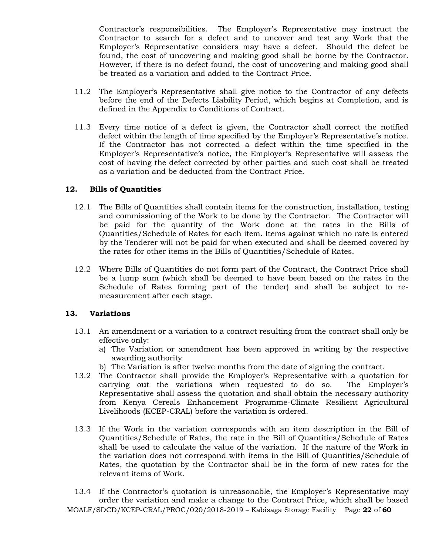Contractor's responsibilities. The Employer's Representative may instruct the Contractor to search for a defect and to uncover and test any Work that the Employer's Representative considers may have a defect. Should the defect be found, the cost of uncovering and making good shall be borne by the Contractor. However, if there is no defect found, the cost of uncovering and making good shall be treated as a variation and added to the Contract Price.

- 11.2 The Employer's Representative shall give notice to the Contractor of any defects before the end of the Defects Liability Period, which begins at Completion, and is defined in the Appendix to Conditions of Contract.
- 11.3 Every time notice of a defect is given, the Contractor shall correct the notified defect within the length of time specified by the Employer's Representative's notice. If the Contractor has not corrected a defect within the time specified in the Employer's Representative's notice, the Employer's Representative will assess the cost of having the defect corrected by other parties and such cost shall be treated as a variation and be deducted from the Contract Price.

#### **12. Bills of Quantities**

- 12.1 The Bills of Quantities shall contain items for the construction, installation, testing and commissioning of the Work to be done by the Contractor. The Contractor will be paid for the quantity of the Work done at the rates in the Bills of Quantities/Schedule of Rates for each item. Items against which no rate is entered by the Tenderer will not be paid for when executed and shall be deemed covered by the rates for other items in the Bills of Quantities/Schedule of Rates.
- 12.2 Where Bills of Quantities do not form part of the Contract, the Contract Price shall be a lump sum (which shall be deemed to have been based on the rates in the Schedule of Rates forming part of the tender) and shall be subject to remeasurement after each stage.

## **13. Variations**

- 13.1 An amendment or a variation to a contract resulting from the contract shall only be effective only:
	- a) The Variation or amendment has been approved in writing by the respective awarding authority
	- b) The Variation is after twelve months from the date of signing the contract.
- 13.2 The Contractor shall provide the Employer's Representative with a quotation for carrying out the variations when requested to do so. The Employer's Representative shall assess the quotation and shall obtain the necessary authority from Kenya Cereals Enhancement Programme-Climate Resilient Agricultural Livelihoods (KCEP-CRAL) before the variation is ordered.
- 13.3 If the Work in the variation corresponds with an item description in the Bill of Quantities/Schedule of Rates, the rate in the Bill of Quantities/Schedule of Rates shall be used to calculate the value of the variation. If the nature of the Work in the variation does not correspond with items in the Bill of Quantities/Schedule of Rates, the quotation by the Contractor shall be in the form of new rates for the relevant items of Work.
- MOALF/SDCD/KCEP-CRAL/PROC/020/2018-2019 Kabisaga Storage Facility Page **22** of **60** 13.4 If the Contractor's quotation is unreasonable, the Employer's Representative may order the variation and make a change to the Contract Price, which shall be based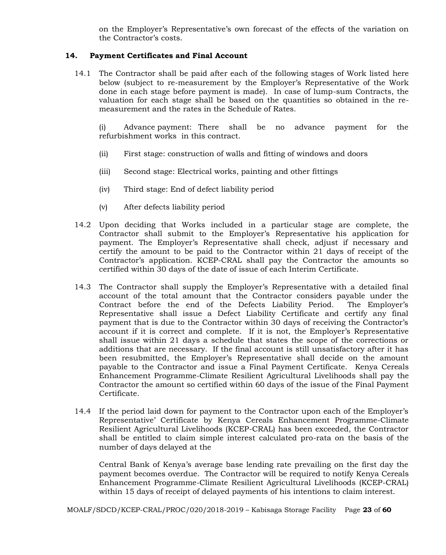on the Employer's Representative's own forecast of the effects of the variation on the Contractor's costs.

## **14. Payment Certificates and Final Account**

14.1 The Contractor shall be paid after each of the following stages of Work listed here below (subject to re-measurement by the Employer's Representative of the Work done in each stage before payment is made). In case of lump-sum Contracts, the valuation for each stage shall be based on the quantities so obtained in the remeasurement and the rates in the Schedule of Rates.

(i) Advance payment: There shall be no advance payment for the refurbishment works in this contract.

- (ii) First stage: construction of walls and fitting of windows and doors
- (iii) Second stage: Electrical works, painting and other fittings
- (iv) Third stage: End of defect liability period
- (v) After defects liability period
- 14.2 Upon deciding that Works included in a particular stage are complete, the Contractor shall submit to the Employer's Representative his application for payment. The Employer's Representative shall check, adjust if necessary and certify the amount to be paid to the Contractor within 21 days of receipt of the Contractor's application. KCEP-CRAL shall pay the Contractor the amounts so certified within 30 days of the date of issue of each Interim Certificate.
- 14.3 The Contractor shall supply the Employer's Representative with a detailed final account of the total amount that the Contractor considers payable under the Contract before the end of the Defects Liability Period. The Employer's Representative shall issue a Defect Liability Certificate and certify any final payment that is due to the Contractor within 30 days of receiving the Contractor's account if it is correct and complete. If it is not, the Employer's Representative shall issue within 21 days a schedule that states the scope of the corrections or additions that are necessary. If the final account is still unsatisfactory after it has been resubmitted, the Employer's Representative shall decide on the amount payable to the Contractor and issue a Final Payment Certificate. Kenya Cereals Enhancement Programme-Climate Resilient Agricultural Livelihoods shall pay the Contractor the amount so certified within 60 days of the issue of the Final Payment Certificate.
- 14.4 If the period laid down for payment to the Contractor upon each of the Employer's Representative' Certificate by Kenya Cereals Enhancement Programme-Climate Resilient Agricultural Livelihoods (KCEP-CRAL) has been exceeded, the Contractor shall be entitled to claim simple interest calculated pro-rata on the basis of the number of days delayed at the

Central Bank of Kenya's average base lending rate prevailing on the first day the payment becomes overdue. The Contractor will be required to notify Kenya Cereals Enhancement Programme-Climate Resilient Agricultural Livelihoods (KCEP-CRAL) within 15 days of receipt of delayed payments of his intentions to claim interest.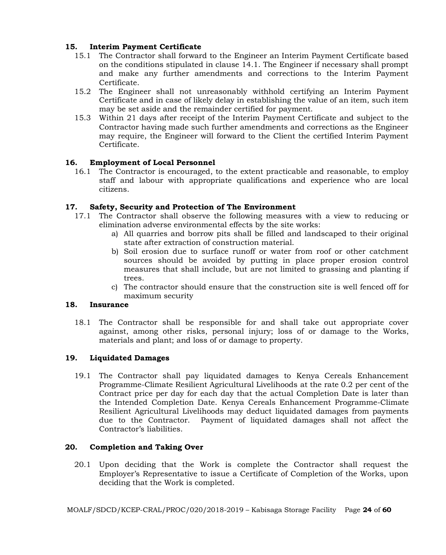## **15. Interim Payment Certificate**

- 15.1 The Contractor shall forward to the Engineer an Interim Payment Certificate based on the conditions stipulated in clause 14.1. The Engineer if necessary shall prompt and make any further amendments and corrections to the Interim Payment Certificate.
- 15.2 The Engineer shall not unreasonably withhold certifying an Interim Payment Certificate and in case of likely delay in establishing the value of an item, such item may be set aside and the remainder certified for payment.
- 15.3 Within 21 days after receipt of the Interim Payment Certificate and subject to the Contractor having made such further amendments and corrections as the Engineer may require, the Engineer will forward to the Client the certified Interim Payment Certificate.

## **16. Employment of Local Personnel**

16.1 The Contractor is encouraged, to the extent practicable and reasonable, to employ staff and labour with appropriate qualifications and experience who are local citizens.

## **17. Safety, Security and Protection of The Environment**

- 17.1 The Contractor shall observe the following measures with a view to reducing or elimination adverse environmental effects by the site works:
	- a) All quarries and borrow pits shall be filled and landscaped to their original state after extraction of construction material.
	- b) Soil erosion due to surface runoff or water from roof or other catchment sources should be avoided by putting in place proper erosion control measures that shall include, but are not limited to grassing and planting if trees.
	- c) The contractor should ensure that the construction site is well fenced off for maximum security

## **18. Insurance**

18.1 The Contractor shall be responsible for and shall take out appropriate cover against, among other risks, personal injury; loss of or damage to the Works, materials and plant; and loss of or damage to property.

## **19. Liquidated Damages**

19.1 The Contractor shall pay liquidated damages to Kenya Cereals Enhancement Programme-Climate Resilient Agricultural Livelihoods at the rate 0.2 per cent of the Contract price per day for each day that the actual Completion Date is later than the Intended Completion Date. Kenya Cereals Enhancement Programme-Climate Resilient Agricultural Livelihoods may deduct liquidated damages from payments due to the Contractor. Payment of liquidated damages shall not affect the Contractor's liabilities.

## **20. Completion and Taking Over**

20.1 Upon deciding that the Work is complete the Contractor shall request the Employer's Representative to issue a Certificate of Completion of the Works, upon deciding that the Work is completed.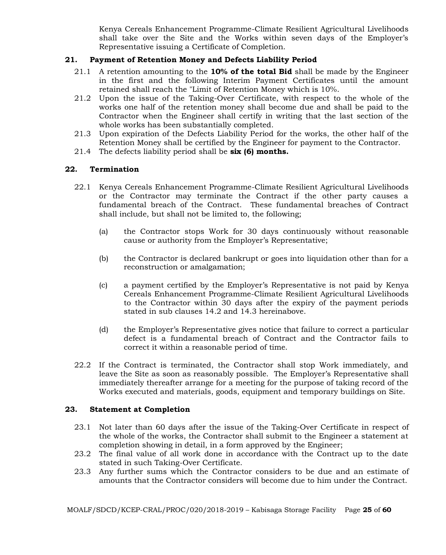Kenya Cereals Enhancement Programme-Climate Resilient Agricultural Livelihoods shall take over the Site and the Works within seven days of the Employer's Representative issuing a Certificate of Completion.

## **21. Payment of Retention Money and Defects Liability Period**

- 21.1 A retention amounting to the **10% of the total Bid** shall be made by the Engineer in the first and the following Interim Payment Certificates until the amount retained shall reach the "Limit of Retention Money which is 10%.
- 21.2 Upon the issue of the Taking-Over Certificate, with respect to the whole of the works one half of the retention money shall become due and shall be paid to the Contractor when the Engineer shall certify in writing that the last section of the whole works has been substantially completed.
- 21.3 Upon expiration of the Defects Liability Period for the works, the other half of the Retention Money shall be certified by the Engineer for payment to the Contractor.
- 21.4 The defects liability period shall be **six (6) months.**

## **22. Termination**

- 22.1 Kenya Cereals Enhancement Programme-Climate Resilient Agricultural Livelihoods or the Contractor may terminate the Contract if the other party causes a fundamental breach of the Contract. These fundamental breaches of Contract shall include, but shall not be limited to, the following;
	- (a) the Contractor stops Work for 30 days continuously without reasonable cause or authority from the Employer's Representative;
	- (b) the Contractor is declared bankrupt or goes into liquidation other than for a reconstruction or amalgamation;
	- (c) a payment certified by the Employer's Representative is not paid by Kenya Cereals Enhancement Programme-Climate Resilient Agricultural Livelihoods to the Contractor within 30 days after the expiry of the payment periods stated in sub clauses 14.2 and 14.3 hereinabove.
	- (d) the Employer's Representative gives notice that failure to correct a particular defect is a fundamental breach of Contract and the Contractor fails to correct it within a reasonable period of time.
- 22.2 If the Contract is terminated, the Contractor shall stop Work immediately, and leave the Site as soon as reasonably possible. The Employer's Representative shall immediately thereafter arrange for a meeting for the purpose of taking record of the Works executed and materials, goods, equipment and temporary buildings on Site.

## **23. Statement at Completion**

- 23.1 Not later than 60 days after the issue of the Taking-Over Certificate in respect of the whole of the works, the Contractor shall submit to the Engineer a statement at completion showing in detail, in a form approved by the Engineer;
- 23.2 The final value of all work done in accordance with the Contract up to the date stated in such Taking-Over Certificate.
- 23.3 Any further sums which the Contractor considers to be due and an estimate of amounts that the Contractor considers will become due to him under the Contract.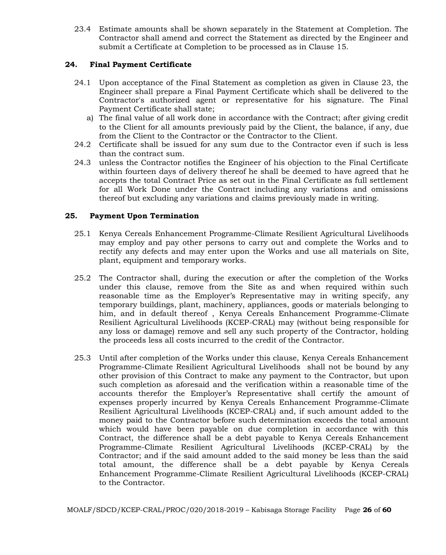23.4 Estimate amounts shall be shown separately in the Statement at Completion. The Contractor shall amend and correct the Statement as directed by the Engineer and submit a Certificate at Completion to be processed as in Clause 15.

## **24. Final Payment Certificate**

- 24.1 Upon acceptance of the Final Statement as completion as given in Clause 23, the Engineer shall prepare a Final Payment Certificate which shall be delivered to the Contractor's authorized agent or representative for his signature. The Final Payment Certificate shall state;
	- a) The final value of all work done in accordance with the Contract; after giving credit to the Client for all amounts previously paid by the Client, the balance, if any, due from the Client to the Contractor or the Contractor to the Client.
- 24.2 Certificate shall be issued for any sum due to the Contractor even if such is less than the contract sum.
- 24.3 unless the Contractor notifies the Engineer of his objection to the Final Certificate within fourteen days of delivery thereof he shall be deemed to have agreed that he accepts the total Contract Price as set out in the Final Certificate as full settlement for all Work Done under the Contract including any variations and omissions thereof but excluding any variations and claims previously made in writing.

## **25. Payment Upon Termination**

- 25.1 Kenya Cereals Enhancement Programme-Climate Resilient Agricultural Livelihoods may employ and pay other persons to carry out and complete the Works and to rectify any defects and may enter upon the Works and use all materials on Site, plant, equipment and temporary works.
- 25.2 The Contractor shall, during the execution or after the completion of the Works under this clause, remove from the Site as and when required within such reasonable time as the Employer's Representative may in writing specify, any temporary buildings, plant, machinery, appliances, goods or materials belonging to him, and in default thereof , Kenya Cereals Enhancement Programme-Climate Resilient Agricultural Livelihoods (KCEP-CRAL) may (without being responsible for any loss or damage) remove and sell any such property of the Contractor, holding the proceeds less all costs incurred to the credit of the Contractor.
- 25.3 Until after completion of the Works under this clause, Kenya Cereals Enhancement Programme-Climate Resilient Agricultural Livelihoods shall not be bound by any other provision of this Contract to make any payment to the Contractor, but upon such completion as aforesaid and the verification within a reasonable time of the accounts therefor the Employer's Representative shall certify the amount of expenses properly incurred by Kenya Cereals Enhancement Programme-Climate Resilient Agricultural Livelihoods (KCEP-CRAL) and, if such amount added to the money paid to the Contractor before such determination exceeds the total amount which would have been payable on due completion in accordance with this Contract, the difference shall be a debt payable to Kenya Cereals Enhancement Programme-Climate Resilient Agricultural Livelihoods (KCEP-CRAL) by the Contractor; and if the said amount added to the said money be less than the said total amount, the difference shall be a debt payable by Kenya Cereals Enhancement Programme-Climate Resilient Agricultural Livelihoods (KCEP-CRAL) to the Contractor.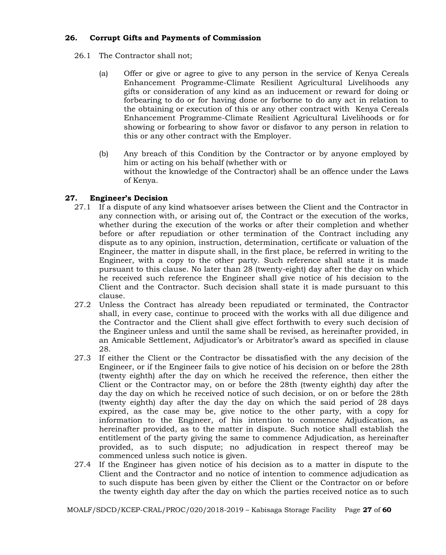## **26. Corrupt Gifts and Payments of Commission**

- 26.1 The Contractor shall not;
	- (a) Offer or give or agree to give to any person in the service of Kenya Cereals Enhancement Programme-Climate Resilient Agricultural Livelihoods any gifts or consideration of any kind as an inducement or reward for doing or forbearing to do or for having done or forborne to do any act in relation to the obtaining or execution of this or any other contract with Kenya Cereals Enhancement Programme-Climate Resilient Agricultural Livelihoods or for showing or forbearing to show favor or disfavor to any person in relation to this or any other contract with the Employer.
	- (b) Any breach of this Condition by the Contractor or by anyone employed by him or acting on his behalf (whether with or without the knowledge of the Contractor) shall be an offence under the Laws of Kenya.

## **27. Engineer's Decision**

- 27.1 If a dispute of any kind whatsoever arises between the Client and the Contractor in any connection with, or arising out of, the Contract or the execution of the works, whether during the execution of the works or after their completion and whether before or after repudiation or other termination of the Contract including any dispute as to any opinion, instruction, determination, certificate or valuation of the Engineer, the matter in dispute shall, in the first place, be referred in writing to the Engineer, with a copy to the other party. Such reference shall state it is made pursuant to this clause. No later than 28 (twenty-eight) day after the day on which he received such reference the Engineer shall give notice of his decision to the Client and the Contractor. Such decision shall state it is made pursuant to this clause.
- 27.2 Unless the Contract has already been repudiated or terminated, the Contractor shall, in every case, continue to proceed with the works with all due diligence and the Contractor and the Client shall give effect forthwith to every such decision of the Engineer unless and until the same shall be revised, as hereinafter provided, in an Amicable Settlement, Adjudicator's or Arbitrator's award as specified in clause 28.
- 27.3 If either the Client or the Contractor be dissatisfied with the any decision of the Engineer, or if the Engineer fails to give notice of his decision on or before the 28th (twenty eighth) after the day on which he received the reference, then either the Client or the Contractor may, on or before the 28th (twenty eighth) day after the day the day on which he received notice of such decision, or on or before the 28th (twenty eighth) day after the day the day on which the said period of 28 days expired, as the case may be, give notice to the other party, with a copy for information to the Engineer, of his intention to commence Adjudication, as hereinafter provided, as to the matter in dispute. Such notice shall establish the entitlement of the party giving the same to commence Adjudication, as hereinafter provided, as to such dispute; no adjudication in respect thereof may be commenced unless such notice is given.
- 27.4 If the Engineer has given notice of his decision as to a matter in dispute to the Client and the Contractor and no notice of intention to commence adjudication as to such dispute has been given by either the Client or the Contractor on or before the twenty eighth day after the day on which the parties received notice as to such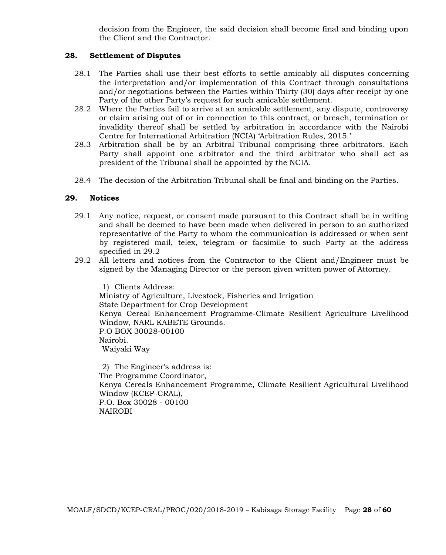decision from the Engineer, the said decision shall become final and binding upon the Client and the Contractor.

#### **28. Settlement of Disputes**

- 28.1 The Parties shall use their best efforts to settle amicably all disputes concerning the interpretation and/or implementation of this Contract through consultations and/or negotiations between the Parties within Thirty (30) days after receipt by one Party of the other Party's request for such amicable settlement.
- 28.2 Where the Parties fail to arrive at an amicable settlement, any dispute, controversy or claim arising out of or in connection to this contract, or breach, termination or invalidity thereof shall be settled by arbitration in accordance with the Nairobi Centre for International Arbitration (NCIA) 'Arbitration Rules, 2015.'
- 28.3 Arbitration shall be by an Arbitral Tribunal comprising three arbitrators. Each Party shall appoint one arbitrator and the third arbitrator who shall act as president of the Tribunal shall be appointed by the NCIA.
- 28.4 The decision of the Arbitration Tribunal shall be final and binding on the Parties.

#### **29. Notices**

- 29.1 Any notice, request, or consent made pursuant to this Contract shall be in writing and shall be deemed to have been made when delivered in person to an authorized representative of the Party to whom the communication is addressed or when sent by registered mail, telex, telegram or facsimile to such Party at the address specified in 29.2
- 29.2 All letters and notices from the Contractor to the Client and/Engineer must be signed by the Managing Director or the person given written power of Attorney.

1) Clients Address: Ministry of Agriculture, Livestock, Fisheries and Irrigation State Department for Crop Development Kenya Cereal Enhancement Programme-Climate Resilient Agriculture Livelihood Window, NARL KABETE Grounds. P.O BOX 30028-00100 Nairobi. Waiyaki Way

2) The Engineer's address is: The Programme Coordinator, Kenya Cereals Enhancement Programme, Climate Resilient Agricultural Livelihood Window (KCEP-CRAL), P.O. Box 30028 - 00100 NAIROBI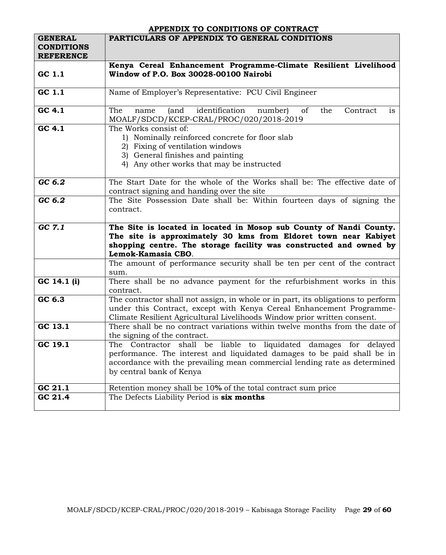## **APPENDIX TO CONDITIONS OF CONTRACT**

| <b>GENERAL</b><br><b>CONDITIONS</b><br><b>REFERENCE</b> | PARTICULARS OF APPENDIX TO GENERAL CONDITIONS                                                                                                                                                                                                        |
|---------------------------------------------------------|------------------------------------------------------------------------------------------------------------------------------------------------------------------------------------------------------------------------------------------------------|
|                                                         | Kenya Cereal Enhancement Programme-Climate Resilient Livelihood                                                                                                                                                                                      |
| GC 1.1                                                  | Window of P.O. Box 30028-00100 Nairobi                                                                                                                                                                                                               |
| GC 1.1                                                  | Name of Employer's Representative: PCU Civil Engineer                                                                                                                                                                                                |
| GC 4.1                                                  | identification<br>The<br>of<br>is<br>(and<br>number)<br>the<br>Contract<br>name<br>MOALF/SDCD/KCEP-CRAL/PROC/020/2018-2019                                                                                                                           |
| GC 4.1                                                  | The Works consist of:<br>1) Nominally reinforced concrete for floor slab<br>2) Fixing of ventilation windows<br>3) General finishes and painting<br>4) Any other works that may be instructed                                                        |
| GC 6.2                                                  | The Start Date for the whole of the Works shall be: The effective date of<br>contract signing and handing over the site                                                                                                                              |
| GC 6.2                                                  | The Site Possession Date shall be: Within fourteen days of signing the<br>contract.                                                                                                                                                                  |
| GCZ.1                                                   | The Site is located in located in Mosop sub County of Nandi County.<br>The site is approximately 30 kms from Eldoret town near Kabiyet<br>shopping centre. The storage facility was constructed and owned by<br>Lemok-Kamasia CBO.                   |
|                                                         | The amount of performance security shall be ten per cent of the contract<br>sum.                                                                                                                                                                     |
| GC 14.1 (i)                                             | There shall be no advance payment for the refurbishment works in this<br>contract.                                                                                                                                                                   |
| GC 6.3                                                  | The contractor shall not assign, in whole or in part, its obligations to perform<br>under this Contract, except with Kenya Cereal Enhancement Programme-<br>Climate Resilient Agricultural Livelihoods Window prior written consent.                 |
| GC 13.1                                                 | There shall be no contract variations within twelve months from the date of<br>the signing of the contract.                                                                                                                                          |
| GC 19.1                                                 | The Contractor shall be liable to liquidated damages for delayed<br>performance. The interest and liquidated damages to be paid shall be in<br>accordance with the prevailing mean commercial lending rate as determined<br>by central bank of Kenya |
| GC 21.1                                                 | Retention money shall be 10% of the total contract sum price                                                                                                                                                                                         |
| GC 21.4                                                 | The Defects Liability Period is six months                                                                                                                                                                                                           |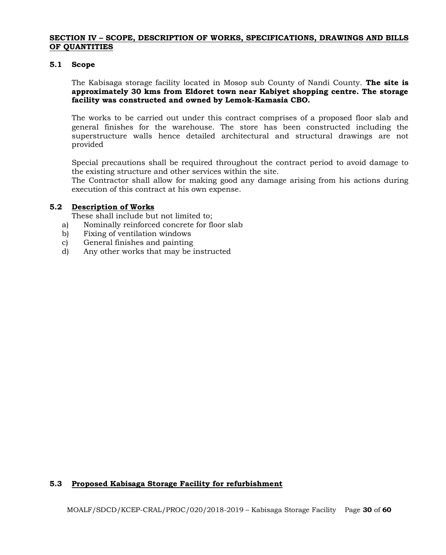#### **SECTION IV – SCOPE, DESCRIPTION OF WORKS, SPECIFICATIONS, DRAWINGS AND BILLS OF QUANTITIES**

#### **5.1 Scope**

The Kabisaga storage facility located in Mosop sub County of Nandi County. **The site is approximately 30 kms from Eldoret town near Kabiyet shopping centre. The storage facility was constructed and owned by Lemok-Kamasia CBO.**

The works to be carried out under this contract comprises of a proposed floor slab and general finishes for the warehouse. The store has been constructed including the superstructure walls hence detailed architectural and structural drawings are not provided

Special precautions shall be required throughout the contract period to avoid damage to the existing structure and other services within the site.

The Contractor shall allow for making good any damage arising from his actions during execution of this contract at his own expense.

#### **5.2 Description of Works**

These shall include but not limited to;

- a) Nominally reinforced concrete for floor slab
- b) Fixing of ventilation windows
- c) General finishes and painting
- d) Any other works that may be instructed

## **5.3 Proposed Kabisaga Storage Facility for refurbishment**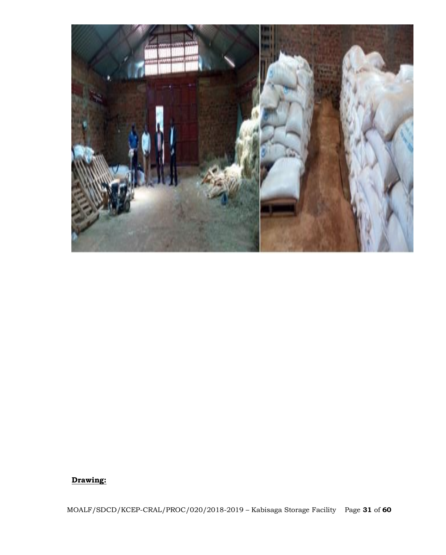

# **Drawing:**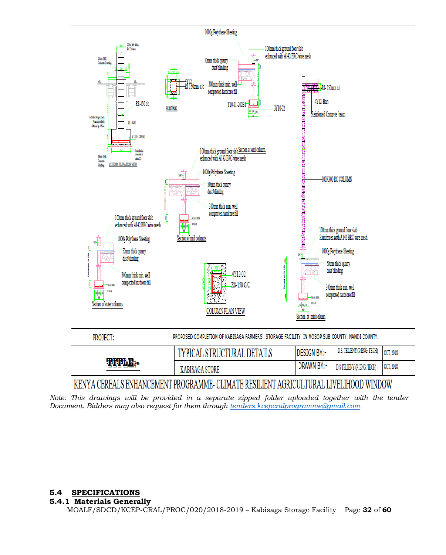

*Note: This drawings will be provided in a separate zipped folder uploaded together with the tender Document. Bidders may also request for them through [tenders.kcepcralprogramme@gmail.com](mailto:tenders.kcepcralprogramme@gmail.com)*

## **5.4 SPECIFICATIONS**

#### **5.4.1 Materials Generally**

MOALF/SDCD/KCEP-CRAL/PROC/020/2018-2019 – Kabisaga Storage Facility Page **32** of **60**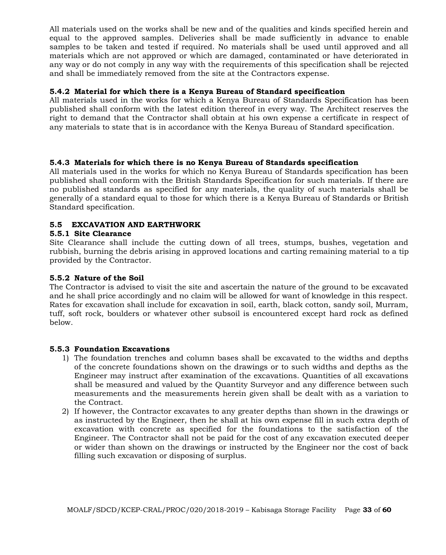All materials used on the works shall be new and of the qualities and kinds specified herein and equal to the approved samples. Deliveries shall be made sufficiently in advance to enable samples to be taken and tested if required. No materials shall be used until approved and all materials which are not approved or which are damaged, contaminated or have deteriorated in any way or do not comply in any way with the requirements of this specification shall be rejected and shall be immediately removed from the site at the Contractors expense.

## **5.4.2 Material for which there is a Kenya Bureau of Standard specification**

All materials used in the works for which a Kenya Bureau of Standards Specification has been published shall conform with the latest edition thereof in every way. The Architect reserves the right to demand that the Contractor shall obtain at his own expense a certificate in respect of any materials to state that is in accordance with the Kenya Bureau of Standard specification.

#### **5.4.3 Materials for which there is no Kenya Bureau of Standards specification**

All materials used in the works for which no Kenya Bureau of Standards specification has been published shall conform with the British Standards Specification for such materials. If there are no published standards as specified for any materials, the quality of such materials shall be generally of a standard equal to those for which there is a Kenya Bureau of Standards or British Standard specification.

## **5.5 EXCAVATION AND EARTHWORK**

## **5.5.1 Site Clearance**

Site Clearance shall include the cutting down of all trees, stumps, bushes, vegetation and rubbish, burning the debris arising in approved locations and carting remaining material to a tip provided by the Contractor.

#### **5.5.2 Nature of the Soil**

The Contractor is advised to visit the site and ascertain the nature of the ground to be excavated and he shall price accordingly and no claim will be allowed for want of knowledge in this respect. Rates for excavation shall include for excavation in soil, earth, black cotton, sandy soil, Murram, tuff, soft rock, boulders or whatever other subsoil is encountered except hard rock as defined below.

#### **5.5.3 Foundation Excavations**

- 1) The foundation trenches and column bases shall be excavated to the widths and depths of the concrete foundations shown on the drawings or to such widths and depths as the Engineer may instruct after examination of the excavations. Quantities of all excavations shall be measured and valued by the Quantity Surveyor and any difference between such measurements and the measurements herein given shall be dealt with as a variation to the Contract.
- 2) If however, the Contractor excavates to any greater depths than shown in the drawings or as instructed by the Engineer, then he shall at his own expense fill in such extra depth of excavation with concrete as specified for the foundations to the satisfaction of the Engineer. The Contractor shall not be paid for the cost of any excavation executed deeper or wider than shown on the drawings or instructed by the Engineer nor the cost of back filling such excavation or disposing of surplus.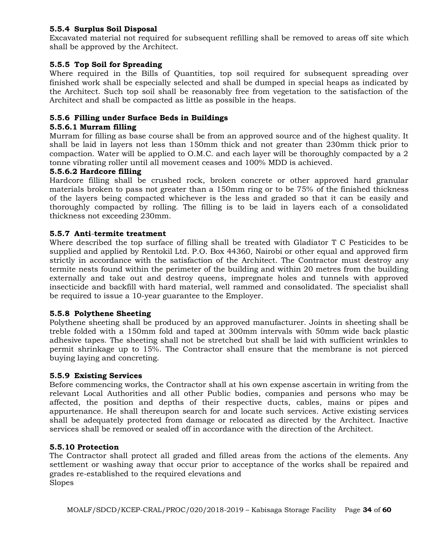## **5.5.4 Surplus Soil Disposal**

Excavated material not required for subsequent refilling shall be removed to areas off site which shall be approved by the Architect.

## **5.5.5 Top Soil for Spreading**

Where required in the Bills of Quantities, top soil required for subsequent spreading over finished work shall be especially selected and shall be dumped in special heaps as indicated by the Architect. Such top soil shall be reasonably free from vegetation to the satisfaction of the Architect and shall be compacted as little as possible in the heaps.

## **5.5.6 Filling under Surface Beds in Buildings**

## **5.5.6.1 Murram filling**

Murram for filling as base course shall be from an approved source and of the highest quality. It shall be laid in layers not less than 150mm thick and not greater than 230mm thick prior to compaction. Water will be applied to O.M.C. and each layer will be thoroughly compacted by a 2 tonne vibrating roller until all movement ceases and 100% MDD is achieved.

## **5.5.6.2 Hardcore filling**

Hardcore filling shall be crushed rock, broken concrete or other approved hard granular materials broken to pass not greater than a 150mm ring or to be 75% of the finished thickness of the layers being compacted whichever is the less and graded so that it can be easily and thoroughly compacted by rolling. The filling is to be laid in layers each of a consolidated thickness not exceeding 230mm.

#### **5.5.7 Anti**-**termite treatment**

Where described the top surface of filling shall be treated with Gladiator T C Pesticides to be supplied and applied by Rentokil Ltd. P.O. Box 44360, Nairobi or other equal and approved firm strictly in accordance with the satisfaction of the Architect. The Contractor must destroy any termite nests found within the perimeter of the building and within 20 metres from the building externally and take out and destroy queens, impregnate holes and tunnels with approved insecticide and backfill with hard material, well rammed and consolidated. The specialist shall be required to issue a 10-year guarantee to the Employer.

## **5.5.8 Polythene Sheeting**

Polythene sheeting shall be produced by an approved manufacturer. Joints in sheeting shall be treble folded with a 150mm fold and taped at 300mm intervals with 50mm wide back plastic adhesive tapes. The sheeting shall not be stretched but shall be laid with sufficient wrinkles to permit shrinkage up to 15%. The Contractor shall ensure that the membrane is not pierced buying laying and concreting.

## **5.5.9 Existing Services**

Before commencing works, the Contractor shall at his own expense ascertain in writing from the relevant Local Authorities and all other Public bodies, companies and persons who may be affected, the position and depths of their respective ducts, cables, mains or pipes and appurtenance. He shall thereupon search for and locate such services. Active existing services shall be adequately protected from damage or relocated as directed by the Architect. Inactive services shall be removed or sealed off in accordance with the direction of the Architect.

## **5.5.10 Protection**

The Contractor shall protect all graded and filled areas from the actions of the elements. Any settlement or washing away that occur prior to acceptance of the works shall be repaired and grades re-established to the required elevations and Slopes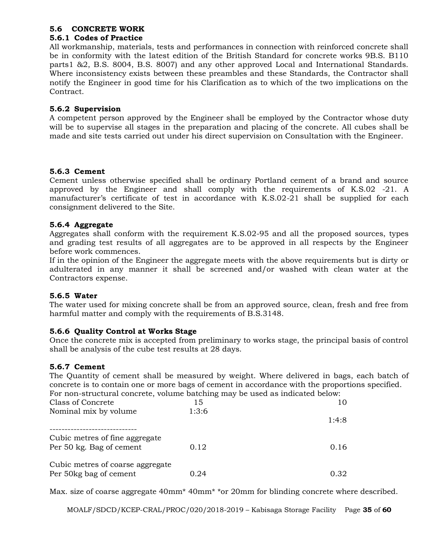## **5.6 CONCRETE WORK**

## **5.6.1 Codes of Practice**

All workmanship, materials, tests and performances in connection with reinforced concrete shall be in conformity with the latest edition of the British Standard for concrete works 9B.S. B110 parts1 &2, B.S. 8004, B.S. 8007) and any other approved Local and International Standards. Where inconsistency exists between these preambles and these Standards, the Contractor shall notify the Engineer in good time for his Clarification as to which of the two implications on the Contract.

## **5.6.2 Supervision**

A competent person approved by the Engineer shall be employed by the Contractor whose duty will be to supervise all stages in the preparation and placing of the concrete. All cubes shall be made and site tests carried out under his direct supervision on Consultation with the Engineer.

## **5.6.3 Cement**

Cement unless otherwise specified shall be ordinary Portland cement of a brand and source approved by the Engineer and shall comply with the requirements of K.S.02 -21. A manufacturer's certificate of test in accordance with K.S.02-21 shall be supplied for each consignment delivered to the Site.

## **5.6.4 Aggregate**

Aggregates shall conform with the requirement K.S.02-95 and all the proposed sources, types and grading test results of all aggregates are to be approved in all respects by the Engineer before work commences.

If in the opinion of the Engineer the aggregate meets with the above requirements but is dirty or adulterated in any manner it shall be screened and/or washed with clean water at the Contractors expense.

## **5.6.5 Water**

The water used for mixing concrete shall be from an approved source, clean, fresh and free from harmful matter and comply with the requirements of B.S.3148.

## **5.6.6 Quality Control at Works Stage**

Once the concrete mix is accepted from preliminary to works stage, the principal basis of control shall be analysis of the cube test results at 28 days.

## **5.6.7 Cement**

The Quantity of cement shall be measured by weight. Where delivered in bags, each batch of concrete is to contain one or more bags of cement in accordance with the proportions specified. For non-structural concrete, volume batching may be used as indicated below:

| For non-structural concrete, volume batching may be used as indicated below. |       |       |
|------------------------------------------------------------------------------|-------|-------|
| Class of Concrete                                                            | 15    | 10    |
| Nominal mix by volume                                                        | 1:3:6 |       |
|                                                                              |       | 1:4:8 |
| Cubic metres of fine aggregate<br>Per 50 kg. Bag of cement                   | 0.12  | 0.16  |
| Cubic metres of coarse aggregate<br>Per 50 kg bag of cement                  | 0.24  | 0.32  |

Max. size of coarse aggregate 40mm<sup>\*</sup> 40mm<sup>\*</sup> \*or 20mm for blinding concrete where described.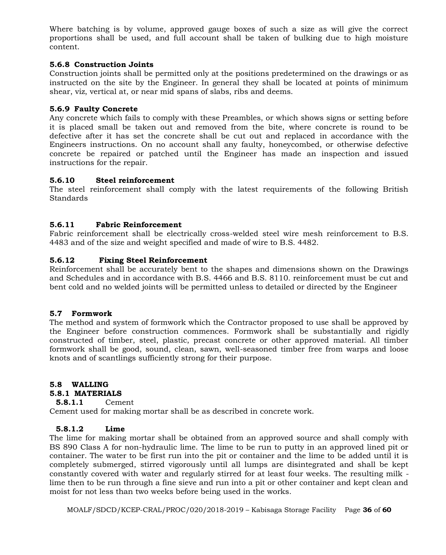Where batching is by volume, approved gauge boxes of such a size as will give the correct proportions shall be used, and full account shall be taken of bulking due to high moisture content.

## **5.6.8 Construction Joints**

Construction joints shall be permitted only at the positions predetermined on the drawings or as instructed on the site by the Engineer. In general they shall be located at points of minimum shear, viz, vertical at, or near mid spans of slabs, ribs and deems.

#### **5.6.9 Faulty Concrete**

Any concrete which fails to comply with these Preambles, or which shows signs or setting before it is placed small be taken out and removed from the bite, where concrete is round to be defective after it has set the concrete shall be cut out and replaced in accordance with the Engineers instructions. On no account shall any faulty, honeycombed, or otherwise defective concrete be repaired or patched until the Engineer has made an inspection and issued instructions for the repair.

#### **5.6.10 Steel reinforcement**

The steel reinforcement shall comply with the latest requirements of the following British Standards

## **5.6.11 Fabric Reinforcement**

Fabric reinforcement shall be electrically cross-welded steel wire mesh reinforcement to B.S. 4483 and of the size and weight specified and made of wire to B.S. 4482.

#### **5.6.12 Fixing Steel Reinforcement**

Reinforcement shall be accurately bent to the shapes and dimensions shown on the Drawings and Schedules and in accordance with B.S. 4466 and B.S. 8110. reinforcement must be cut and bent cold and no welded joints will be permitted unless to detailed or directed by the Engineer

#### **5.7 Formwork**

The method and system of formwork which the Contractor proposed to use shall be approved by the Engineer before construction commences. Formwork shall be substantially and rigidly constructed of timber, steel, plastic, precast concrete or other approved material. All timber formwork shall be good, sound, clean, sawn, well-seasoned timber free from warps and loose knots and of scantlings sufficiently strong for their purpose.

## **5.8 WALLING**

#### **5.8.1 MATERIALS**

#### **5.8.1.1** Cement

Cement used for making mortar shall be as described in concrete work.

#### **5.8.1.2 Lime**

The lime for making mortar shall be obtained from an approved source and shall comply with BS 890 Class A for non-hydraulic lime. The lime to be run to putty in an approved lined pit or container. The water to be first run into the pit or container and the lime to be added until it is completely submerged, stirred vigorously until all lumps are disintegrated and shall be kept constantly covered with water and regularly stirred for at least four weeks. The resulting milk lime then to be run through a fine sieve and run into a pit or other container and kept clean and moist for not less than two weeks before being used in the works.

MOALF/SDCD/KCEP-CRAL/PROC/020/2018-2019 – Kabisaga Storage Facility Page **36** of **60**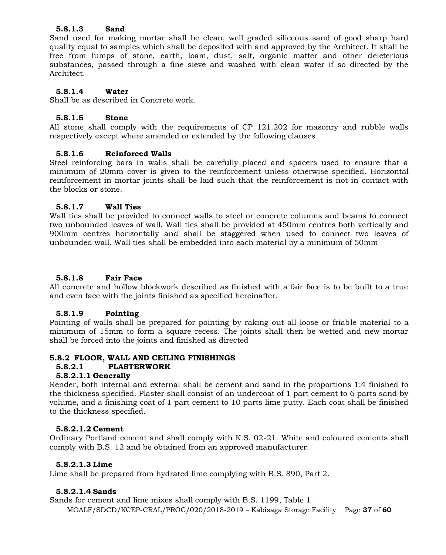## **5.8.1.3 Sand**

Sand used for making mortar shall be clean, well graded siliceous sand of good sharp hard quality equal to samples which shall be deposited with and approved by the Architect. It shall be free from lumps of stone, earth, loam, dust, salt, organic matter and other deleterious substances, passed through a fine sieve and washed with clean water if so directed by the Architect.

## **5.8.1.4 Water**

Shall be as described in Concrete work.

#### **5.8.1.5 Stone**

All stone shall comply with the requirements of CP 121.202 for masonry and rubble walls respectively except where amended or extended by the following clauses

#### **5.8.1.6 Reinforced Walls**

Steel reinforcing bars in walls shall be carefully placed and spacers used to ensure that a minimum of 20mm cover is given to the reinforcement unless otherwise specified. Horizontal reinforcement in mortar joints shall be laid such that the reinforcement is not in contact with the blocks or stone.

#### **5.8.1.7 Wall Ties**

Wall ties shall be provided to connect walls to steel or concrete columns and beams to connect two unbounded leaves of wall. Wall ties shall be provided at 450mm centres both vertically and 900mm centres horizontally and shall be staggered when used to connect two leaves of unbounded wall. Wall ties shall be embedded into each material by a minimum of 50mm

## **5.8.1.8 Fair Face**

All concrete and hollow blockwork described as finished with a fair face is to be built to a true and even face with the joints finished as specified hereinafter.

#### **5.8.1.9 Pointing**

Pointing of walls shall be prepared for pointing by raking out all loose or friable material to a minimum of 15mm to form a square recess. The joints shall then be wetted and new mortar shall be forced into the joints and finished as directed

## **5.8.2 FLOOR, WALL AND CEILING FINISHINGS**

#### **5.8.2.1 PLASTERWORK**

#### **5.8.2.1.1 Generally**

Render, both internal and external shall be cement and sand in the proportions 1:4 finished to the thickness specified. Plaster shall consist of an undercoat of 1 part cement to 6 parts sand by volume, and a finishing coat of 1 part cement to 10 parts lime putty. Each coat shall be finished to the thickness specified.

#### **5.8.2.1.2 Cement**

Ordinary Portland cement and shall comply with K.S. 02-21. White and coloured cements shall comply with B.S. 12 and be obtained from an approved manufacturer.

#### **5.8.2.1.3 Lime**

Lime shall be prepared from hydrated lime complying with B.S. 890, Part 2.

#### **5.8.2.1.4 Sands**

Sands for cement and lime mixes shall comply with B.S. 1199, Table 1.

MOALF/SDCD/KCEP-CRAL/PROC/020/2018-2019 – Kabisaga Storage Facility Page **37** of **60**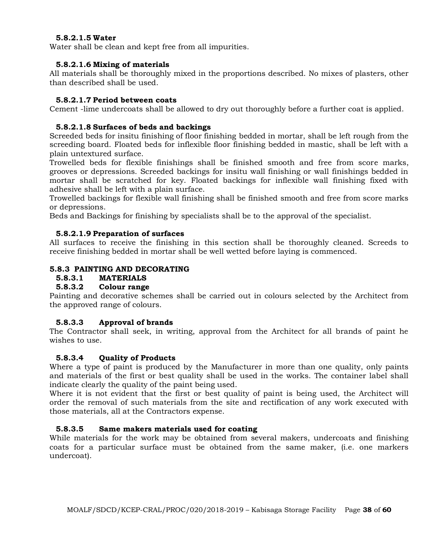## **5.8.2.1.5 Water**

Water shall be clean and kept free from all impurities.

#### **5.8.2.1.6 Mixing of materials**

All materials shall be thoroughly mixed in the proportions described. No mixes of plasters, other than described shall be used.

#### **5.8.2.1.7 Period between coats**

Cement -lime undercoats shall be allowed to dry out thoroughly before a further coat is applied.

## **5.8.2.1.8 Surfaces of beds and backings**

Screeded beds for insitu finishing of floor finishing bedded in mortar, shall be left rough from the screeding board. Floated beds for inflexible floor finishing bedded in mastic, shall be left with a plain untextured surface.

Trowelled beds for flexible finishings shall be finished smooth and free from score marks, grooves or depressions. Screeded backings for insitu wall finishing or wall finishings bedded in mortar shall be scratched for key. Floated backings for inflexible wall finishing fixed with adhesive shall be left with a plain surface.

Trowelled backings for flexible wall finishing shall be finished smooth and free from score marks or depressions.

Beds and Backings for finishing by specialists shall be to the approval of the specialist.

#### **5.8.2.1.9 Preparation of surfaces**

All surfaces to receive the finishing in this section shall be thoroughly cleaned. Screeds to receive finishing bedded in mortar shall be well wetted before laying is commenced.

#### **5.8.3 PAINTING AND DECORATING**

# **5.8.3.1 MATERIALS**

## **5.8.3.2 Colour range**

Painting and decorative schemes shall be carried out in colours selected by the Architect from the approved range of colours.

## **5.8.3.3 Approval of brands**

The Contractor shall seek, in writing, approval from the Architect for all brands of paint he wishes to use.

#### **5.8.3.4 Quality of Products**

Where a type of paint is produced by the Manufacturer in more than one quality, only paints and materials of the first or best quality shall be used in the works. The container label shall indicate clearly the quality of the paint being used.

Where it is not evident that the first or best quality of paint is being used, the Architect will order the removal of such materials from the site and rectification of any work executed with those materials, all at the Contractors expense.

## **5.8.3.5 Same makers materials used for coating**

While materials for the work may be obtained from several makers, undercoats and finishing coats for a particular surface must be obtained from the same maker, (i.e. one markers undercoat).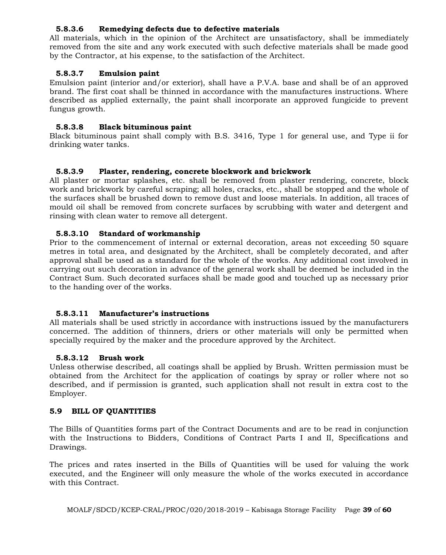## **5.8.3.6 Remedying defects due to defective materials**

All materials, which in the opinion of the Architect are unsatisfactory, shall be immediately removed from the site and any work executed with such defective materials shall be made good by the Contractor, at his expense, to the satisfaction of the Architect.

#### **5.8.3.7 Emulsion paint**

Emulsion paint (interior and/or exterior), shall have a P.V.A. base and shall be of an approved brand. The first coat shall be thinned in accordance with the manufactures instructions. Where described as applied externally, the paint shall incorporate an approved fungicide to prevent fungus growth.

#### **5.8.3.8 Black bituminous paint**

Black bituminous paint shall comply with B.S. 3416, Type 1 for general use, and Type ii for drinking water tanks.

#### **5.8.3.9 Plaster, rendering, concrete blockwork and brickwork**

All plaster or mortar splashes, etc. shall be removed from plaster rendering, concrete, block work and brickwork by careful scraping; all holes, cracks, etc., shall be stopped and the whole of the surfaces shall be brushed down to remove dust and loose materials. In addition, all traces of mould oil shall be removed from concrete surfaces by scrubbing with water and detergent and rinsing with clean water to remove all detergent.

#### **5.8.3.10 Standard of workmanship**

Prior to the commencement of internal or external decoration, areas not exceeding 50 square metres in total area, and designated by the Architect, shall be completely decorated, and after approval shall be used as a standard for the whole of the works. Any additional cost involved in carrying out such decoration in advance of the general work shall be deemed be included in the Contract Sum. Such decorated surfaces shall be made good and touched up as necessary prior to the handing over of the works.

#### **5.8.3.11 Manufacturer's instructions**

All materials shall be used strictly in accordance with instructions issued by the manufacturers concerned. The addition of thinners, driers or other materials will only be permitted when specially required by the maker and the procedure approved by the Architect.

#### **5.8.3.12 Brush work**

Unless otherwise described, all coatings shall be applied by Brush. Written permission must be obtained from the Architect for the application of coatings by spray or roller where not so described, and if permission is granted, such application shall not result in extra cost to the Employer.

#### **5.9 BILL OF QUANTITIES**

The Bills of Quantities forms part of the Contract Documents and are to be read in conjunction with the Instructions to Bidders, Conditions of Contract Parts I and II, Specifications and Drawings.

The prices and rates inserted in the Bills of Quantities will be used for valuing the work executed, and the Engineer will only measure the whole of the works executed in accordance with this Contract.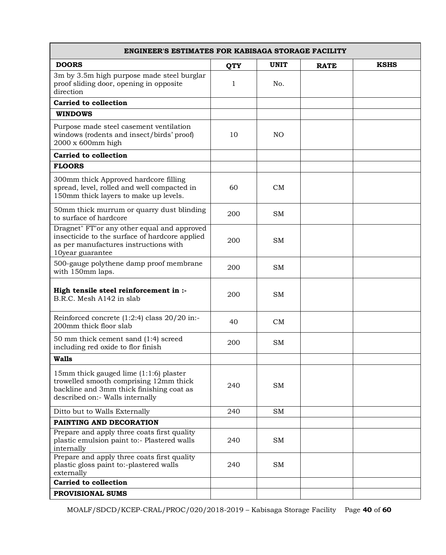| <b>ENGINEER'S ESTIMATES FOR KABISAGA STORAGE FACILITY</b>                                                                                                       |            |                |             |             |
|-----------------------------------------------------------------------------------------------------------------------------------------------------------------|------------|----------------|-------------|-------------|
| <b>DOORS</b>                                                                                                                                                    | <b>QTY</b> | <b>UNIT</b>    | <b>RATE</b> | <b>KSHS</b> |
| 3m by 3.5m high purpose made steel burglar<br>proof sliding door, opening in opposite<br>direction                                                              | 1          | No.            |             |             |
| <b>Carried to collection</b>                                                                                                                                    |            |                |             |             |
| <b>WINDOWS</b>                                                                                                                                                  |            |                |             |             |
| Purpose made steel casement ventilation<br>windows (rodents and insect/birds' proof)<br>2000 x 600mm high                                                       | 10         | N <sub>O</sub> |             |             |
| <b>Carried to collection</b>                                                                                                                                    |            |                |             |             |
| <b>FLOORS</b>                                                                                                                                                   |            |                |             |             |
| 300mm thick Approved hardcore filling<br>spread, level, rolled and well compacted in<br>150mm thick layers to make up levels.                                   | 60         | CM             |             |             |
| 50mm thick murrum or quarry dust blinding<br>to surface of hardcore                                                                                             | 200        | <b>SM</b>      |             |             |
| Dragnet" FT"or any other equal and approved<br>insecticide to the surface of hardcore applied<br>as per manufactures instructions with<br>10year guarantee      | 200        | <b>SM</b>      |             |             |
| 500-gauge polythene damp proof membrane<br>with 150mm laps.                                                                                                     | 200        | <b>SM</b>      |             |             |
| High tensile steel reinforcement in :-<br>B.R.C. Mesh A142 in slab                                                                                              | 200        | <b>SM</b>      |             |             |
| Reinforced concrete $(1:2:4)$ class $20/20$ in:-<br>200mm thick floor slab                                                                                      | 40         | CM             |             |             |
| 50 mm thick cement sand (1:4) screed<br>including red oxide to flor finish                                                                                      | 200        | <b>SM</b>      |             |             |
| <b>Walls</b>                                                                                                                                                    |            |                |             |             |
| 15mm thick gauged lime (1:1:6) plaster<br>trowelled smooth comprising 12mm thick<br>backline and 3mm thick finishing coat as<br>described on:- Walls internally | 240        | <b>SM</b>      |             |             |
| Ditto but to Walls Externally                                                                                                                                   | 240        | SM             |             |             |
| PAINTING AND DECORATION                                                                                                                                         |            |                |             |             |
| Prepare and apply three coats first quality<br>plastic emulsion paint to:- Plastered walls<br>internally                                                        | 240        | SM             |             |             |
| Prepare and apply three coats first quality<br>plastic gloss paint to:-plastered walls<br>externally                                                            | 240        | <b>SM</b>      |             |             |
| <b>Carried to collection</b>                                                                                                                                    |            |                |             |             |
| PROVISIONAL SUMS                                                                                                                                                |            |                |             |             |

MOALF/SDCD/KCEP-CRAL/PROC/020/2018-2019 – Kabisaga Storage Facility Page **40** of **60**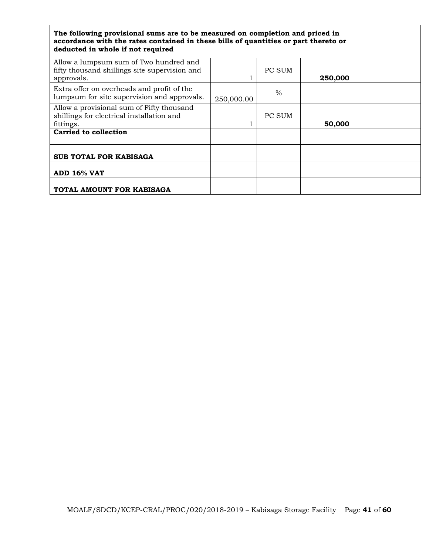| The following provisional sums are to be measured on completion and priced in<br>accordance with the rates contained in these bills of quantities or part thereto or<br>deducted in whole if not required |            |        |         |  |
|-----------------------------------------------------------------------------------------------------------------------------------------------------------------------------------------------------------|------------|--------|---------|--|
| Allow a lumpsum sum of Two hundred and<br>fifty thousand shillings site supervision and<br>approvals.                                                                                                     |            | PC SUM | 250,000 |  |
| Extra offer on overheads and profit of the<br>lumpsum for site supervision and approvals.                                                                                                                 | 250,000.00 | $\%$   |         |  |
| Allow a provisional sum of Fifty thousand<br>shillings for electrical installation and<br>fittings.                                                                                                       |            | PC SUM | 50,000  |  |
| <b>Carried to collection</b>                                                                                                                                                                              |            |        |         |  |
| <b>SUB TOTAL FOR KABISAGA</b>                                                                                                                                                                             |            |        |         |  |
| <b>ADD 16% VAT</b>                                                                                                                                                                                        |            |        |         |  |
| TOTAL AMOUNT FOR KABISAGA                                                                                                                                                                                 |            |        |         |  |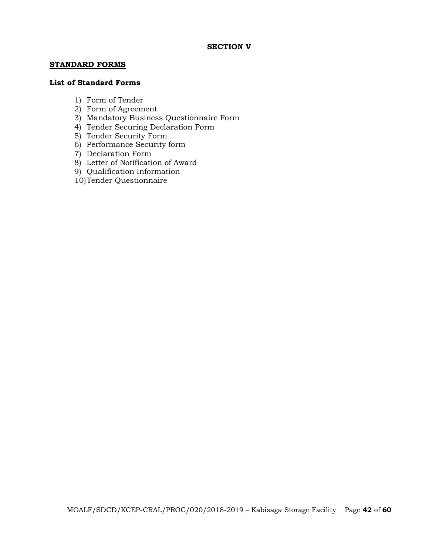#### **SECTION V**

#### **STANDARD FORMS**

#### **List of Standard Forms**

- 1) Form of Tender
- 2) Form of Agreement
- 3) Mandatory Business Questionnaire Form
- 4) Tender Securing Declaration Form
- 5) Tender Security Form
- 6) Performance Security form
- 7) Declaration Form
- 8) Letter of Notification of Award
- 9) Qualification Information
- 10)Tender Questionnaire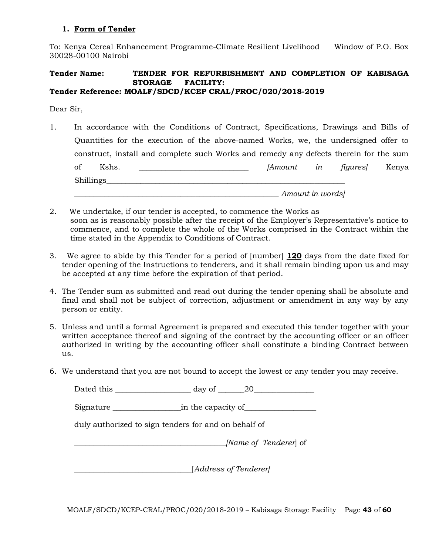## **1. Form of Tender**

To: Kenya Cereal Enhancement Programme-Climate Resilient Livelihood Window of P.O. Box 30028-00100 Nairobi

#### **Tender Name: TENDER FOR REFURBISHMENT AND COMPLETION OF KABISAGA STORAGE FACILITY: Tender Reference: MOALF/SDCD/KCEP CRAL/PROC/020/2018-2019**

Dear Sir,

- 1. In accordance with the Conditions of Contract, Specifications, Drawings and Bills of Quantities for the execution of the above-named Works, we, the undersigned offer to construct, install and complete such Works and remedy any defects therein for the sum of Kshs. \_\_\_\_\_\_\_\_\_\_\_\_\_\_\_\_\_\_\_\_\_\_\_\_\_\_\_\_\_ *[Amount in figures]* Kenya Shillings *\_\_\_\_\_\_\_\_\_\_\_\_\_\_\_\_\_\_\_\_\_\_\_\_\_\_\_\_\_\_\_\_\_\_\_\_\_\_\_\_\_\_\_\_\_\_\_\_\_\_\_\_\_\_ Amount in words]*
- 2. We undertake, if our tender is accepted, to commence the Works as soon as is reasonably possible after the receipt of the Employer's Representative's notice to commence, and to complete the whole of the Works comprised in the Contract within the time stated in the Appendix to Conditions of Contract.
- 3. We agree to abide by this Tender for a period of [number] **120** days from the date fixed for tender opening of the Instructions to tenderers, and it shall remain binding upon us and may be accepted at any time before the expiration of that period.
- 4. The Tender sum as submitted and read out during the tender opening shall be absolute and final and shall not be subject of correction, adjustment or amendment in any way by any person or entity.
- 5. Unless and until a formal Agreement is prepared and executed this tender together with your written acceptance thereof and signing of the contract by the accounting officer or an officer authorized in writing by the accounting officer shall constitute a binding Contract between us.
- 6. We understand that you are not bound to accept the lowest or any tender you may receive.

| $day of \_ 20$                                       |  |
|------------------------------------------------------|--|
|                                                      |  |
| duly authorized to sign tenders for and on behalf of |  |
| [Name of Tenderer] of                                |  |
| [Address of Tenderer]                                |  |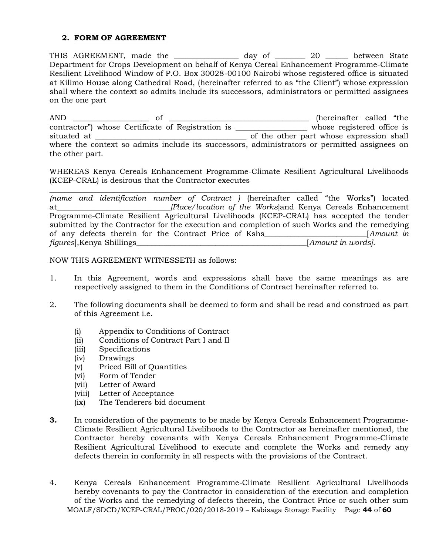## **2. FORM OF AGREEMENT**

THIS AGREEMENT, made the \_\_\_\_\_\_\_\_\_\_\_\_\_\_\_\_ day of \_\_\_\_\_\_\_\_ 20 \_\_\_\_\_\_ between State Department for Crops Development on behalf of Kenya Cereal Enhancement Programme-Climate Resilient Livelihood Window of P.O. Box 30028-00100 Nairobi whose registered office is situated at Kilimo House along Cathedral Road, (hereinafter referred to as "the Client") whose expression shall where the context so admits include its successors, administrators or permitted assignees on the one part

AND \_\_\_\_\_\_\_\_\_\_\_\_\_\_\_\_\_\_\_\_ of \_\_\_\_\_\_\_\_\_\_\_\_\_\_\_\_\_\_\_\_\_\_\_\_\_\_\_\_\_\_\_\_\_\_\_\_\_ (hereinafter called "the contractor") whose Certificate of Registration is \_\_\_\_\_\_\_\_\_\_\_\_\_\_\_\_\_\_\_ whose registered office is situated at \_\_\_\_\_\_\_\_\_\_\_\_\_\_\_\_\_\_\_\_\_\_\_\_\_\_\_\_\_\_\_\_\_\_\_\_\_\_\_\_ of the other part whose expression shall where the context so admits include its successors, administrators or permitted assignees on the other part.

WHEREAS Kenya Cereals Enhancement Programme-Climate Resilient Agricultural Livelihoods (KCEP-CRAL) is desirous that the Contractor executes

\_\_\_\_\_\_\_\_\_\_\_\_\_\_\_\_\_\_\_\_\_\_\_\_\_\_\_\_\_\_\_\_\_\_\_\_\_\_\_\_\_\_\_\_\_\_\_\_\_\_\_\_\_\_\_\_\_\_\_\_\_\_\_\_\_\_\_\_\_\_\_\_ *(name and identification number of Contract )* (hereinafter called "the Works") located at*\_\_\_\_\_\_\_\_\_\_\_\_\_\_\_\_\_\_\_\_\_\_\_\_\_\_\_\_\_\_[Place/location of the Works*]and Kenya Cereals Enhancement Programme-Climate Resilient Agricultural Livelihoods (KCEP-CRAL) has accepted the tender submitted by the Contractor for the execution and completion of such Works and the remedying of any defects therein for the Contract Price of Kshs\_\_\_\_\_\_\_\_\_\_\_\_\_\_\_\_\_\_\_\_\_\_\_\_\_\_\_[*Amount in figures*],Kenya Shillings\_\_\_\_\_\_\_\_\_\_\_\_\_\_\_\_\_\_\_\_\_\_\_\_\_\_\_\_\_\_\_\_\_\_\_\_\_\_\_\_\_\_\_\_\_[*Amount in words].*

NOW THIS AGREEMENT WITNESSETH as follows:

- 1. In this Agreement, words and expressions shall have the same meanings as are respectively assigned to them in the Conditions of Contract hereinafter referred to.
- 2. The following documents shall be deemed to form and shall be read and construed as part of this Agreement i.e.
	- (i) Appendix to Conditions of Contract
	- (ii) Conditions of Contract Part I and II
	- (iii) Specifications
	- (iv) Drawings
	- (v) Priced Bill of Quantities
	- (vi) Form of Tender
	- (vii) Letter of Award
	- (viii) Letter of Acceptance
	- (ix) The Tenderers bid document
- **3.** In consideration of the payments to be made by Kenya Cereals Enhancement Programme-Climate Resilient Agricultural Livelihoods to the Contractor as hereinafter mentioned, the Contractor hereby covenants with Kenya Cereals Enhancement Programme-Climate Resilient Agricultural Livelihood to execute and complete the Works and remedy any defects therein in conformity in all respects with the provisions of the Contract.
- MOALF/SDCD/KCEP-CRAL/PROC/020/2018-2019 Kabisaga Storage Facility Page **44** of **60** 4. Kenya Cereals Enhancement Programme-Climate Resilient Agricultural Livelihoods hereby covenants to pay the Contractor in consideration of the execution and completion of the Works and the remedying of defects therein, the Contract Price or such other sum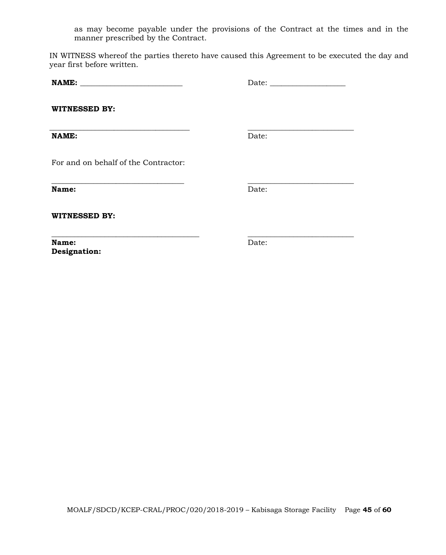as may become payable under the provisions of the Contract at the times and in the manner prescribed by the Contract.

IN WITNESS whereof the parties thereto have caused this Agreement to be executed the day and year first before written.

**\_\_\_\_\_\_\_\_\_\_\_\_\_\_\_\_\_\_\_\_\_\_\_\_\_\_\_\_\_\_\_\_\_\_\_ \_\_\_\_\_\_\_\_\_\_\_\_\_\_\_\_\_\_\_\_\_\_\_\_\_\_\_\_**

**NAME: \_\_\_\_\_\_\_\_\_\_\_\_\_\_\_\_\_\_\_\_\_\_\_\_\_\_\_** Date: \_\_\_\_\_\_\_\_\_\_\_\_\_\_\_\_\_\_\_\_

**WITNESSED BY:**

**\_\_\_\_\_\_\_\_\_\_\_\_\_\_\_\_\_\_\_\_\_\_\_\_\_\_\_\_\_\_\_\_\_\_\_\_\_ \_\_\_\_\_\_\_\_\_\_\_\_\_\_\_\_\_\_\_\_\_\_\_\_\_\_\_\_ NAME:** Date:

For and on behalf of the Contractor:

**Name:** Date:

**WITNESSED BY:**

**Name:** Date: **Designation:** 

**\_\_\_\_\_\_\_\_\_\_\_\_\_\_\_\_\_\_\_\_\_\_\_\_\_\_\_\_\_\_\_\_\_\_\_\_\_\_\_ \_\_\_\_\_\_\_\_\_\_\_\_\_\_\_\_\_\_\_\_\_\_\_\_\_\_\_\_**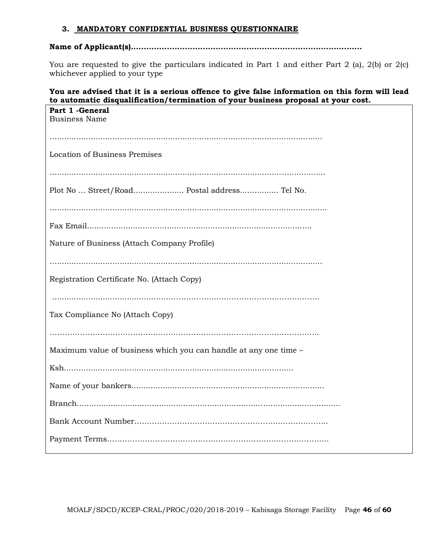#### **3. MANDATORY CONFIDENTIAL BUSINESS QUESTIONNAIRE**

## **Name of Applicant(s)..........................................................................................**

You are requested to give the particulars indicated in Part 1 and either Part 2 (a), 2(b) or 2(c) whichever applied to your type

## **You are advised that it is a serious offence to give false information on this form will lead to automatic disqualification/termination of your business proposal at your cost.**

| Part 1 - General<br><b>Business Name</b>                         |
|------------------------------------------------------------------|
|                                                                  |
| Location of Business Premises                                    |
|                                                                  |
| Plot No  Street/Road Postal address Tel No.                      |
|                                                                  |
|                                                                  |
| Nature of Business (Attach Company Profile)                      |
|                                                                  |
| Registration Certificate No. (Attach Copy)                       |
|                                                                  |
| Tax Compliance No (Attach Copy)                                  |
|                                                                  |
| Maximum value of business which you can handle at any one time - |
|                                                                  |
|                                                                  |
|                                                                  |
|                                                                  |
|                                                                  |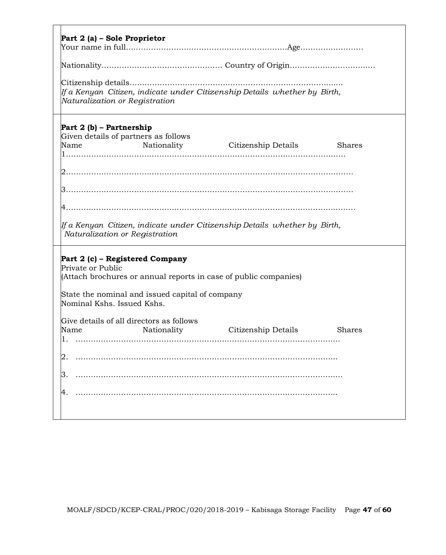| Part 2 (a) – Sole Proprietor                                                                                                                                                                                                                                                                                         |
|----------------------------------------------------------------------------------------------------------------------------------------------------------------------------------------------------------------------------------------------------------------------------------------------------------------------|
|                                                                                                                                                                                                                                                                                                                      |
|                                                                                                                                                                                                                                                                                                                      |
| If a Kenyan  Citizen, indicate under Citizenship Details  whether by  Birth,<br>Naturalization or Registration                                                                                                                                                                                                       |
| Part 2 (b) – Partnership<br>Given details of partners as follows<br>Nationality Citizenship Details<br>Name<br><b>Shares</b>                                                                                                                                                                                         |
| lf a Kenyan  Citizen, indicate under Citizenship Details  whether by  Birth,<br>Naturalization or Registration                                                                                                                                                                                                       |
| Part 2 (c) – Registered Company<br>Private or Public<br>(Attach brochures or annual reports in case of public companies)<br>State the nominal and issued capital of company<br>Nominal Kshs. Issued Kshs.<br>Give details of all directors as follows<br>Citizenship Details<br>Nationality<br><b>Shares</b><br>Name |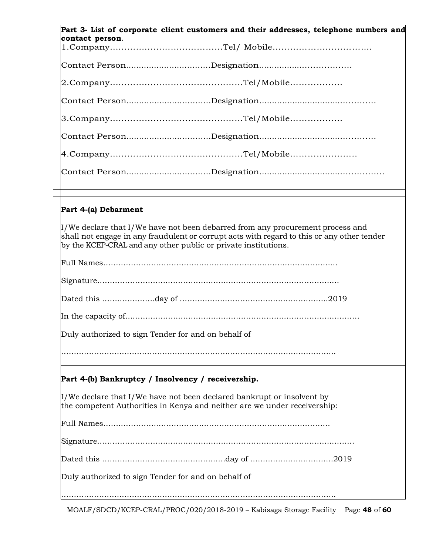|                                                     | Part 3- List of corporate client customers and their addresses, telephone numbers and                                                                                                                                                                                       |
|-----------------------------------------------------|-----------------------------------------------------------------------------------------------------------------------------------------------------------------------------------------------------------------------------------------------------------------------------|
| contact person.                                     |                                                                                                                                                                                                                                                                             |
|                                                     |                                                                                                                                                                                                                                                                             |
|                                                     |                                                                                                                                                                                                                                                                             |
|                                                     |                                                                                                                                                                                                                                                                             |
|                                                     |                                                                                                                                                                                                                                                                             |
|                                                     |                                                                                                                                                                                                                                                                             |
|                                                     |                                                                                                                                                                                                                                                                             |
|                                                     |                                                                                                                                                                                                                                                                             |
|                                                     |                                                                                                                                                                                                                                                                             |
| Part 4-(a) Debarment                                |                                                                                                                                                                                                                                                                             |
|                                                     | $\mathop{\ } / \mathop{\text{We}$ declare that I/We have not been debarred from any procurement process and<br>shall not engage in any fraudulent or corrupt acts with regard to this or any other tender<br>by the KCEP-CRAL and any other public or private institutions. |
|                                                     |                                                                                                                                                                                                                                                                             |
|                                                     |                                                                                                                                                                                                                                                                             |
|                                                     |                                                                                                                                                                                                                                                                             |
|                                                     |                                                                                                                                                                                                                                                                             |
| Duly authorized to sign Tender for and on behalf of |                                                                                                                                                                                                                                                                             |
|                                                     |                                                                                                                                                                                                                                                                             |
|                                                     | Part 4-(b) Bankruptcy / Insolvency / receivership.                                                                                                                                                                                                                          |
|                                                     | Vwe declare that I/We have not been declared bankrupt or insolvent by<br>the competent Authorities in Kenya and neither are we under receivership:                                                                                                                          |
|                                                     |                                                                                                                                                                                                                                                                             |
|                                                     |                                                                                                                                                                                                                                                                             |
|                                                     |                                                                                                                                                                                                                                                                             |
| Duly authorized to sign Tender for and on behalf of |                                                                                                                                                                                                                                                                             |

MOALF/SDCD/KCEP-CRAL/PROC/020/2018-2019 – Kabisaga Storage Facility Page **48** of **60**

……………………………………………………………………………………………….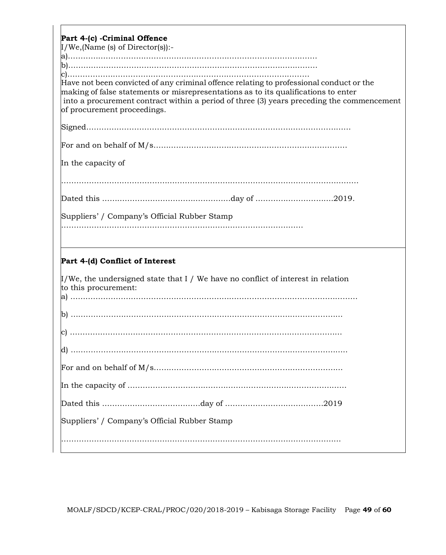| Part 4-(c) - Criminal Offence<br>$I/We$ , (Name (s) of Director(s)):-                                                                                                                                                                                                                                     |
|-----------------------------------------------------------------------------------------------------------------------------------------------------------------------------------------------------------------------------------------------------------------------------------------------------------|
|                                                                                                                                                                                                                                                                                                           |
|                                                                                                                                                                                                                                                                                                           |
|                                                                                                                                                                                                                                                                                                           |
| Have not been convicted of any criminal offence relating to professional conduct or the<br>making of false statements or misrepresentations as to its qualifications to enter<br>into a procurement contract within a period of three (3) years preceding the commencement<br>of procurement proceedings. |
|                                                                                                                                                                                                                                                                                                           |
|                                                                                                                                                                                                                                                                                                           |
|                                                                                                                                                                                                                                                                                                           |
| In the capacity of                                                                                                                                                                                                                                                                                        |
|                                                                                                                                                                                                                                                                                                           |
|                                                                                                                                                                                                                                                                                                           |
| Suppliers' / Company's Official Rubber Stamp                                                                                                                                                                                                                                                              |
|                                                                                                                                                                                                                                                                                                           |
|                                                                                                                                                                                                                                                                                                           |
| Part 4-(d) Conflict of Interest                                                                                                                                                                                                                                                                           |
| $\mu$ /We, the undersigned state that I / We have no conflict of interest in relation<br>to this procurement:                                                                                                                                                                                             |
|                                                                                                                                                                                                                                                                                                           |
|                                                                                                                                                                                                                                                                                                           |
|                                                                                                                                                                                                                                                                                                           |
|                                                                                                                                                                                                                                                                                                           |
|                                                                                                                                                                                                                                                                                                           |
|                                                                                                                                                                                                                                                                                                           |
|                                                                                                                                                                                                                                                                                                           |
| Suppliers' / Company's Official Rubber Stamp                                                                                                                                                                                                                                                              |
|                                                                                                                                                                                                                                                                                                           |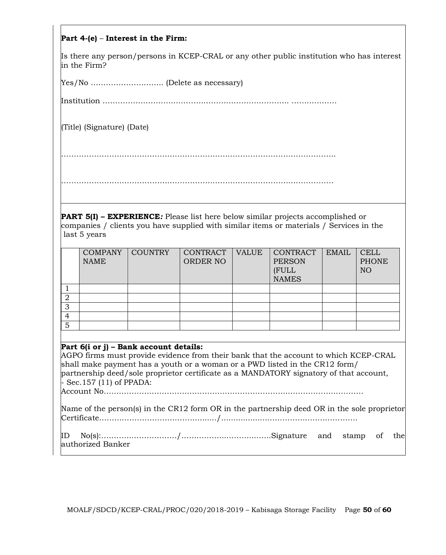## **Part 4-(e)** – **Interest in the Firm:**

Is there any person/persons in KCEP-CRAL or any other public institution who has interest in the Firm?

Yes/No ……………………….. (Delete as necessary)

Institution ………………………….……………………………………. ………………

(Title) (Signature) (Date)

……………………………………………………………………………………………….

………………………………………………………………………………………………

**PART 5(I) – EXPERIENCE***:* Please list here below similar projects accomplished or companies / clients you have supplied with similar items or materials / Services in the last 5 years

|   | <b>COMPANY</b><br><b>NAME</b> | <b>COUNTRY</b> | CONTRACT<br>ORDER NO | <b>VALUE</b> | CONTRACT<br><b>PERSON</b><br>(FULL<br><b>NAMES</b> | <b>EMAIL</b> | <b>CELL</b><br><b>PHONE</b><br>NO |
|---|-------------------------------|----------------|----------------------|--------------|----------------------------------------------------|--------------|-----------------------------------|
|   |                               |                |                      |              |                                                    |              |                                   |
|   |                               |                |                      |              |                                                    |              |                                   |
| 3 |                               |                |                      |              |                                                    |              |                                   |
| 4 |                               |                |                      |              |                                                    |              |                                   |
| 5 |                               |                |                      |              |                                                    |              |                                   |

#### **Part 6(i or j) – Bank account details:**

AGPO firms must provide evidence from their bank that the account to which KCEP-CRAL shall make payment has a youth or a woman or a PWD listed in the CR12 form/ partnership deed/sole proprietor certificate as a MANDATORY signatory of that account, - Sec.157 (11) of PPADA:

Account No………………………………………………………………………………………….

Name of the person(s) in the CR12 form OR in the partnership deed OR in the sole proprietor Certificate………………………….………......./...................……………..……………….

ID No(s):…………………………/…….………..…….…..…...Signature and stamp of the authorized Banker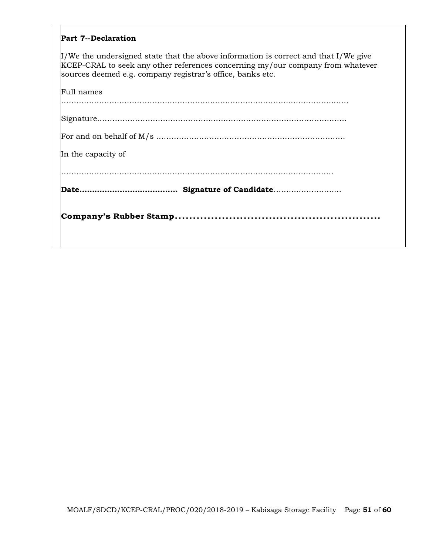#### **Part 7--Declaration**

I/We the undersigned state that the above information is correct and that I/We give KCEP-CRAL to seek any other references concerning my/our company from whatever sources deemed e.g. company registrar's office, banks etc.

| In the capacity of |
|--------------------|
|                    |
|                    |
|                    |
| Full names         |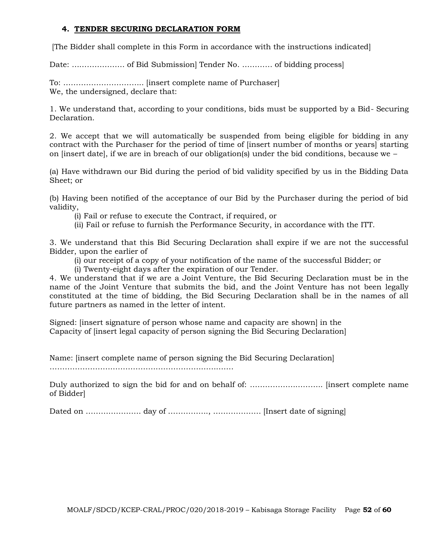## **4. TENDER SECURING DECLARATION FORM**

[The Bidder shall complete in this Form in accordance with the instructions indicated]

Date: ………………… of Bid Submission] Tender No. ………… of bidding process]

To: ………………………….. [insert complete name of Purchaser] We, the undersigned, declare that:

1. We understand that, according to your conditions, bids must be supported by a Bid- Securing Declaration.

2. We accept that we will automatically be suspended from being eligible for bidding in any contract with the Purchaser for the period of time of linsert number of months or years starting on [insert date], if we are in breach of our obligation(s) under the bid conditions, because we  $-$ 

(a) Have withdrawn our Bid during the period of bid validity specified by us in the Bidding Data Sheet; or

(b) Having been notified of the acceptance of our Bid by the Purchaser during the period of bid validity,

(i) Fail or refuse to execute the Contract, if required, or

(ii) Fail or refuse to furnish the Performance Security, in accordance with the ITT.

3. We understand that this Bid Securing Declaration shall expire if we are not the successful Bidder, upon the earlier of

(i) our receipt of a copy of your notification of the name of the successful Bidder; or

(i) Twenty-eight days after the expiration of our Tender.

4. We understand that if we are a Joint Venture, the Bid Securing Declaration must be in the name of the Joint Venture that submits the bid, and the Joint Venture has not been legally constituted at the time of bidding, the Bid Securing Declaration shall be in the names of all future partners as named in the letter of intent.

Signed: [insert signature of person whose name and capacity are shown] in the Capacity of [insert legal capacity of person signing the Bid Securing Declaration]

Name: [insert complete name of person signing the Bid Securing Declaration]

……………………………………………………………….

Duly authorized to sign the bid for and on behalf of: ……………………………………… [insert complete name of Bidder]

Dated on …………………. day of ……………., ………………. [Insert date of signing]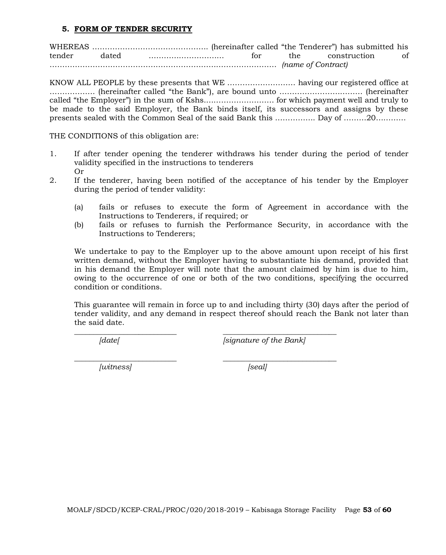#### **5. FORM OF TENDER SECURITY**

WHEREAS ………………………………………. (hereinafter called "the Tenderer") has submitted his tender dated ………………………… for the construction of ……………………………………………………………………………… *(name of Contract)*

KNOW ALL PEOPLE by these presents that WE ……………………… having our registered office at ……………… (hereinafter called "the Bank"), are bound unto …………………………… (hereinafter called "the Employer") in the sum of Kshs.……………………… for which payment well and truly to be made to the said Employer, the Bank binds itself, its successors and assigns by these presents sealed with the Common Seal of the said Bank this ……………. Day of ………20…………

THE CONDITIONS of this obligation are:

- 1. If after tender opening the tenderer withdraws his tender during the period of tender validity specified in the instructions to tenderers Or
- 2. If the tenderer, having been notified of the acceptance of his tender by the Employer during the period of tender validity:
	- (a) fails or refuses to execute the form of Agreement in accordance with the Instructions to Tenderers, if required; or
	- (b) fails or refuses to furnish the Performance Security, in accordance with the Instructions to Tenderers;

We undertake to pay to the Employer up to the above amount upon receipt of his first written demand, without the Employer having to substantiate his demand, provided that in his demand the Employer will note that the amount claimed by him is due to him, owing to the occurrence of one or both of the two conditions, specifying the occurred condition or conditions.

This guarantee will remain in force up to and including thirty (30) days after the period of tender validity, and any demand in respect thereof should reach the Bank not later than the said date.

\_\_\_\_\_\_\_\_\_\_\_\_\_\_\_\_\_\_\_\_\_\_\_\_\_\_\_ \_\_\_\_\_\_\_\_\_\_\_\_\_\_\_\_\_\_\_\_\_\_\_\_\_\_\_\_\_\_

*[date[ [signature of the Bank]*

*\_\_\_\_\_\_\_\_\_\_\_\_\_\_\_\_\_\_\_\_\_\_\_\_\_\_\_ \_\_\_\_\_\_\_\_\_\_\_\_\_\_\_\_\_\_\_\_\_\_\_\_\_\_\_\_\_\_ [witness] [seal]*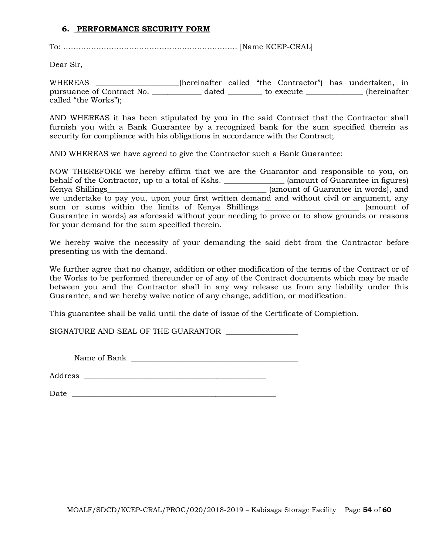#### **6. PERFORMANCE SECURITY FORM**

To: …………………………………………………………… [Name KCEP-CRAL]

Dear Sir,

WHEREAS \_\_\_\_\_\_\_\_\_\_\_\_\_\_\_\_\_\_\_\_\_\_(hereinafter called "the Contractor") has undertaken, in pursuance of Contract No. <br>
dated to execute the secure (hereinafter called "the Works");

AND WHEREAS it has been stipulated by you in the said Contract that the Contractor shall furnish you with a Bank Guarantee by a recognized bank for the sum specified therein as security for compliance with his obligations in accordance with the Contract;

AND WHEREAS we have agreed to give the Contractor such a Bank Guarantee:

NOW THEREFORE we hereby affirm that we are the Guarantor and responsible to you, on behalf of the Contractor, up to a total of Kshs. \_\_\_\_\_\_\_\_\_\_\_\_\_\_\_\_\_ (amount of Guarantee in figures) Kenya Shillings\_\_\_\_\_\_\_\_\_\_\_\_\_\_\_\_\_\_\_\_\_\_\_\_\_\_\_\_\_\_\_\_\_\_\_\_\_\_\_\_\_\_ (amount of Guarantee in words), and we undertake to pay you, upon your first written demand and without civil or argument, any sum or sums within the limits of Kenya Shillings and the sum or sums within the limits of Kenya Shillings Guarantee in words) as aforesaid without your needing to prove or to show grounds or reasons for your demand for the sum specified therein.

We hereby waive the necessity of your demanding the said debt from the Contractor before presenting us with the demand.

We further agree that no change, addition or other modification of the terms of the Contract or of the Works to be performed thereunder or of any of the Contract documents which may be made between you and the Contractor shall in any way release us from any liability under this Guarantee, and we hereby waive notice of any change, addition, or modification.

This guarantee shall be valid until the date of issue of the Certificate of Completion.

SIGNATURE AND SEAL OF THE GUARANTOR \_\_\_\_\_\_\_\_\_\_\_\_\_\_\_\_\_\_\_

Name of Bank \_\_\_\_\_\_\_\_\_\_\_\_\_\_\_\_\_\_\_\_\_\_\_\_\_\_\_\_\_\_\_\_\_\_\_\_\_\_\_\_\_\_\_\_

Address \_\_\_\_\_\_\_\_\_\_\_\_\_\_\_\_\_\_\_\_\_\_\_\_\_\_\_\_\_\_\_\_\_\_\_\_\_\_\_\_\_\_\_\_\_\_\_\_

 $Date$   $\Box$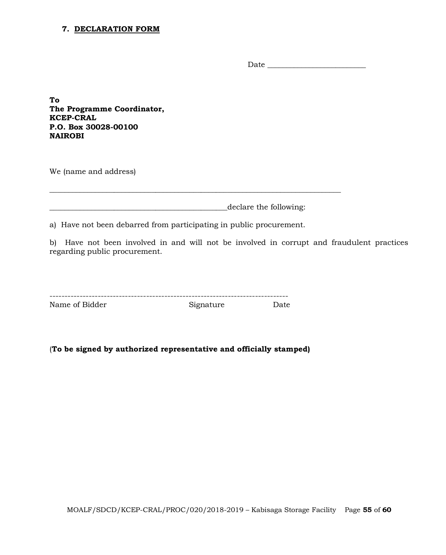#### **7. DECLARATION FORM**

Date \_\_\_\_\_\_\_\_\_\_\_\_\_\_\_\_\_\_\_\_\_\_\_\_\_\_

**To The Programme Coordinator, KCEP-CRAL P.O. Box 30028-00100 NAIROBI**

We (name and address)

declare the following:

\_\_\_\_\_\_\_\_\_\_\_\_\_\_\_\_\_\_\_\_\_\_\_\_\_\_\_\_\_\_\_\_\_\_\_\_\_\_\_\_\_\_\_\_\_\_\_\_\_\_\_\_\_\_\_\_\_\_\_\_\_\_\_\_\_\_\_\_\_\_\_\_\_\_\_\_\_

a) Have not been debarred from participating in public procurement.

b) Have not been involved in and will not be involved in corrupt and fraudulent practices regarding public procurement.

| Name of Bidder | Signature | Date |
|----------------|-----------|------|

(**To be signed by authorized representative and officially stamped)**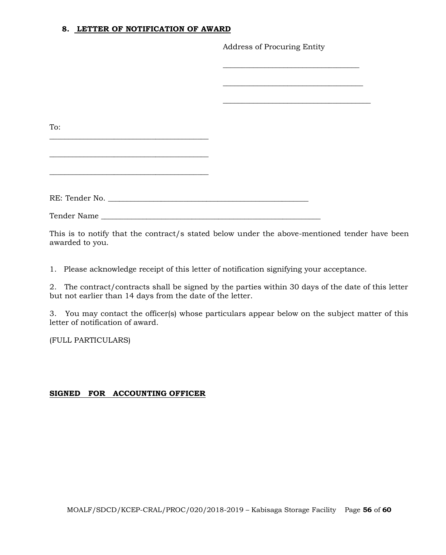#### **8. LETTER OF NOTIFICATION OF AWARD**

Address of Procuring Entity

| the contract of the contract of the contract of the contract of the contract of<br>RE: Tender No. |     |  |
|---------------------------------------------------------------------------------------------------|-----|--|
|                                                                                                   |     |  |
|                                                                                                   |     |  |
|                                                                                                   |     |  |
|                                                                                                   |     |  |
|                                                                                                   |     |  |
|                                                                                                   | To: |  |
|                                                                                                   |     |  |
|                                                                                                   |     |  |
|                                                                                                   |     |  |
|                                                                                                   |     |  |
|                                                                                                   |     |  |
|                                                                                                   |     |  |
|                                                                                                   |     |  |

This is to notify that the contract/s stated below under the above-mentioned tender have been awarded to you.

1. Please acknowledge receipt of this letter of notification signifying your acceptance.

2. The contract/contracts shall be signed by the parties within 30 days of the date of this letter but not earlier than 14 days from the date of the letter.

3. You may contact the officer(s) whose particulars appear below on the subject matter of this letter of notification of award.

(FULL PARTICULARS)

## **SIGNED FOR ACCOUNTING OFFICER**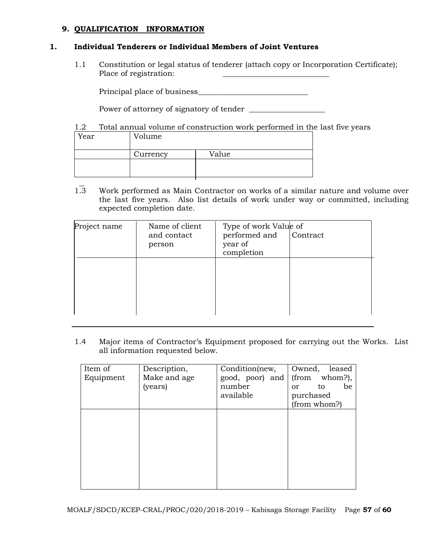## **9. QUALIFICATION INFORMATION**

#### **1. Individual Tenderers or Individual Members of Joint Ventures**

1.1 Constitution or legal status of tenderer (attach copy or Incorporation Certificate); Place of registration:

Principal place of business\_\_\_\_\_\_\_\_\_\_\_\_\_\_\_\_\_\_\_\_\_\_\_\_\_\_\_\_\_

Power of attorney of signatory of tender \_\_\_\_\_\_\_\_\_\_\_\_\_\_\_\_\_\_\_\_

1.2 Total annual volume of construction work performed in the last five years

| Year | Volume   |       |
|------|----------|-------|
|      | Currency | Value |
|      |          |       |

1.3 Work performed as Main Contractor on works of a similar nature and volume over the last five years. Also list details of work under way or committed, including expected completion date.

| Project name | Name of client<br>and contact<br>person | Type of work Value of<br>performed and<br>year of<br>completion | Contract |
|--------------|-----------------------------------------|-----------------------------------------------------------------|----------|
|              |                                         |                                                                 |          |

1.4 Major items of Contractor's Equipment proposed for carrying out the Works. List all information requested below.

| Item of   | Description, | Condition(new,  | Owned,<br>leased          |
|-----------|--------------|-----------------|---------------------------|
| Equipment | Make and age | good, poor) and | (from<br>whom?),          |
|           | (years)      | number          | be<br>to<br><sub>or</sub> |
|           |              | available       | purchased                 |
|           |              |                 | (from whom?)              |
|           |              |                 |                           |
|           |              |                 |                           |
|           |              |                 |                           |
|           |              |                 |                           |
|           |              |                 |                           |
|           |              |                 |                           |
|           |              |                 |                           |
|           |              |                 |                           |
|           |              |                 |                           |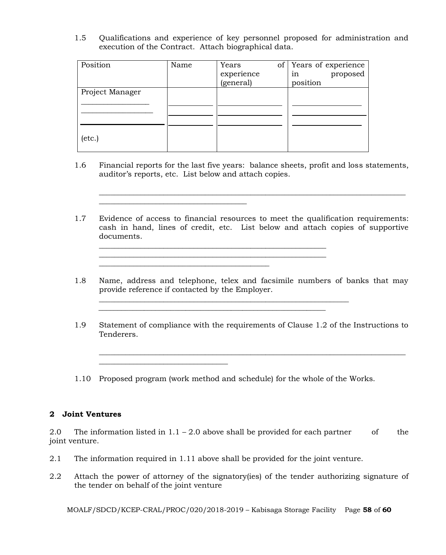1.5 Qualifications and experience of key personnel proposed for administration and execution of the Contract. Attach biographical data.

| Position        | Name | Years<br>of <sub>1</sub> | Years of experience |
|-----------------|------|--------------------------|---------------------|
|                 |      | experience               | proposed<br>1n      |
|                 |      | (general)                | position            |
| Project Manager |      |                          |                     |
|                 |      |                          |                     |
|                 |      |                          |                     |
|                 |      |                          |                     |
|                 |      |                          |                     |
| $(\text{etc.})$ |      |                          |                     |
|                 |      |                          |                     |

\_\_\_\_\_\_\_\_\_\_\_\_\_\_\_\_\_\_\_\_\_\_\_\_\_\_\_\_\_\_\_\_\_\_\_\_\_\_\_

\_\_\_\_\_\_\_\_\_\_\_\_\_\_\_\_\_\_\_\_\_\_\_\_\_\_\_\_\_\_\_\_\_\_

1.6 Financial reports for the last five years: balance sheets, profit and loss statements, auditor's reports, etc. List below and attach copies.

\_\_\_\_\_\_\_\_\_\_\_\_\_\_\_\_\_\_\_\_\_\_\_\_\_\_\_\_\_\_\_\_\_\_\_\_\_\_\_\_\_\_\_\_\_\_\_\_\_\_\_\_\_\_\_\_\_\_\_\_\_\_\_\_\_\_\_\_\_\_\_\_\_\_\_\_\_\_\_\_\_

1.7 Evidence of access to financial resources to meet the qualification requirements: cash in hand, lines of credit, etc. List below and attach copies of supportive documents.

\_\_\_\_\_\_\_\_\_\_\_\_\_\_\_\_\_\_\_\_\_\_\_\_\_\_\_\_\_\_\_\_\_\_\_\_\_\_\_\_\_\_\_\_\_\_\_\_\_\_\_\_\_\_\_\_\_\_\_\_

 $\frac{1}{2}$  ,  $\frac{1}{2}$  ,  $\frac{1}{2}$  ,  $\frac{1}{2}$  ,  $\frac{1}{2}$  ,  $\frac{1}{2}$  ,  $\frac{1}{2}$  ,  $\frac{1}{2}$  ,  $\frac{1}{2}$  ,  $\frac{1}{2}$  ,  $\frac{1}{2}$  ,  $\frac{1}{2}$  ,  $\frac{1}{2}$  ,  $\frac{1}{2}$  ,  $\frac{1}{2}$  ,  $\frac{1}{2}$  ,  $\frac{1}{2}$  ,  $\frac{1}{2}$  ,  $\frac{1$ 

\_\_\_\_\_\_\_\_\_\_\_\_\_\_\_\_\_\_\_\_\_\_\_\_\_\_\_\_\_\_\_\_\_\_\_\_\_\_\_\_\_\_\_\_\_

- 1.8 Name, address and telephone, telex and facsimile numbers of banks that may provide reference if contacted by the Employer.
- 1.9 Statement of compliance with the requirements of Clause 1.2 of the Instructions to Tenderers.

\_\_\_\_\_\_\_\_\_\_\_\_\_\_\_\_\_\_\_\_\_\_\_\_\_\_\_\_\_\_\_\_\_\_\_\_\_\_\_\_\_\_\_\_\_\_\_\_\_\_\_\_\_\_\_\_\_\_\_\_\_\_\_\_\_\_\_\_\_\_\_\_\_\_\_\_\_\_\_\_\_

1.10 Proposed program (work method and schedule) for the whole of the Works.

 $\mathcal{L}_\text{max}$  and  $\mathcal{L}_\text{max}$  and  $\mathcal{L}_\text{max}$  and  $\mathcal{L}_\text{max}$  and  $\mathcal{L}_\text{max}$  and  $\mathcal{L}_\text{max}$ 

#### **2 Joint Ventures**

2.0 The information listed in  $1.1 - 2.0$  above shall be provided for each partner of the joint venture.

- 2.1 The information required in 1.11 above shall be provided for the joint venture.
- 2.2 Attach the power of attorney of the signatory(ies) of the tender authorizing signature of the tender on behalf of the joint venture

MOALF/SDCD/KCEP-CRAL/PROC/020/2018-2019 – Kabisaga Storage Facility Page **58** of **60**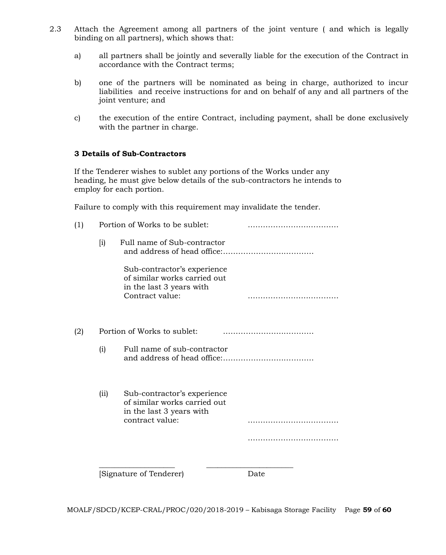- 2.3 Attach the Agreement among all partners of the joint venture ( and which is legally binding on all partners), which shows that:
	- a) all partners shall be jointly and severally liable for the execution of the Contract in accordance with the Contract terms;
	- b) one of the partners will be nominated as being in charge, authorized to incur liabilities and receive instructions for and on behalf of any and all partners of the joint venture; and
	- c) the execution of the entire Contract, including payment, shall be done exclusively with the partner in charge.

#### **3 Details of Sub-Contractors**

If the Tenderer wishes to sublet any portions of the Works under any heading, he must give below details of the sub-contractors he intends to employ for each portion.

Failure to comply with this requirement may invalidate the tender.

| (1) |                    | Portion of Works to be sublet:                                                                             |      |
|-----|--------------------|------------------------------------------------------------------------------------------------------------|------|
|     | $\left[ i \right)$ | Full name of Sub-contractor                                                                                |      |
|     |                    | Sub-contractor's experience<br>of similar works carried out<br>in the last 3 years with<br>Contract value: |      |
| (2) |                    | Portion of Works to sublet:                                                                                |      |
|     | (i)                | Full name of sub-contractor                                                                                |      |
|     | (ii)               | Sub-contractor's experience<br>of similar works carried out<br>in the last 3 years with<br>contract value: |      |
|     |                    |                                                                                                            |      |
|     |                    | Signature of Tenderer)                                                                                     | Date |